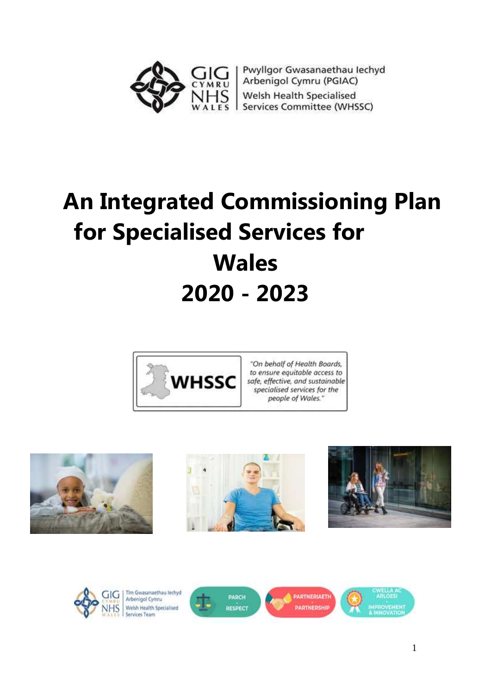

Pwyllgor Gwasanaethau Iechyd Arbenigol Cymru (PGIAC) Welsh Health Specialised Services Committee (WHSSC)

# **An Integrated Commissioning Plan for Specialised Services for Wales 2020 - 2023**



"On behalf of Health Boards, to ensure equitable access to safe, effective, and sustainable specialised services for the people of Wales."











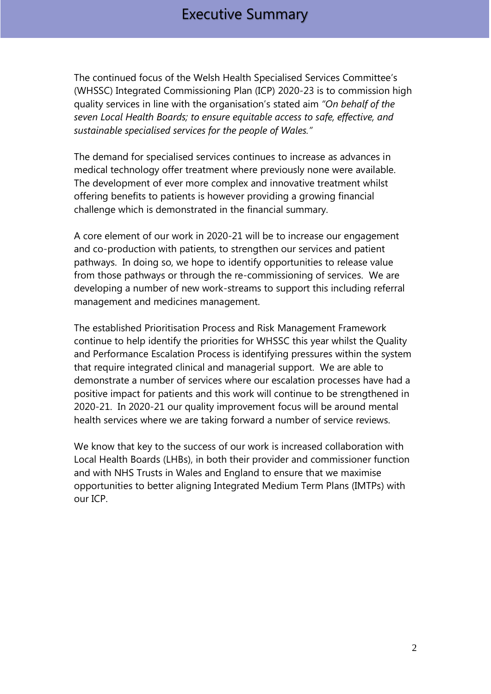The continued focus of the Welsh Health Specialised Services Committee's (WHSSC) Integrated Commissioning Plan (ICP) 2020-23 is to commission high quality services in line with the organisation's stated aim *"On behalf of the seven Local Health Boards; to ensure equitable access to safe, effective, and sustainable specialised services for the people of Wales."*

The demand for specialised services continues to increase as advances in medical technology offer treatment where previously none were available. The development of ever more complex and innovative treatment whilst offering benefits to patients is however providing a growing financial challenge which is demonstrated in the financial summary.

A core element of our work in 2020-21 will be to increase our engagement and co-production with patients, to strengthen our services and patient pathways. In doing so, we hope to identify opportunities to release value from those pathways or through the re-commissioning of services. We are developing a number of new work-streams to support this including referral management and medicines management.

The established Prioritisation Process and Risk Management Framework continue to help identify the priorities for WHSSC this year whilst the Quality and Performance Escalation Process is identifying pressures within the system that require integrated clinical and managerial support. We are able to demonstrate a number of services where our escalation processes have had a positive impact for patients and this work will continue to be strengthened in 2020-21. In 2020-21 our quality improvement focus will be around mental health services where we are taking forward a number of service reviews.

We know that key to the success of our work is increased collaboration with Local Health Boards (LHBs), in both their provider and commissioner function and with NHS Trusts in Wales and England to ensure that we maximise opportunities to better aligning Integrated Medium Term Plans (IMTPs) with our ICP.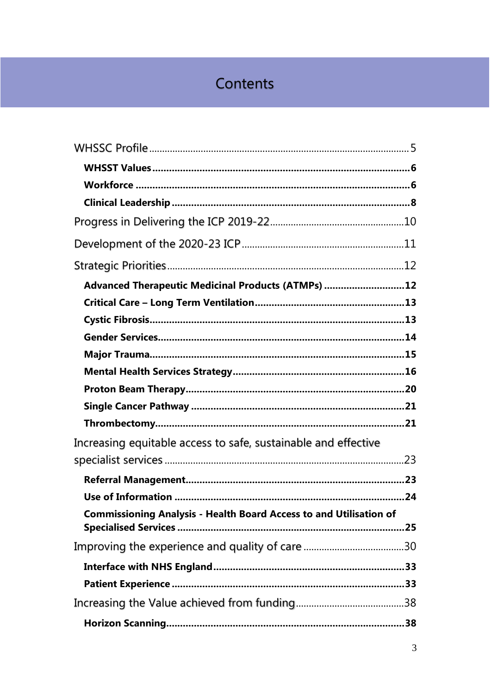# Contents

| Advanced Therapeutic Medicinal Products (ATMPs) 12                        |  |
|---------------------------------------------------------------------------|--|
|                                                                           |  |
|                                                                           |  |
|                                                                           |  |
|                                                                           |  |
|                                                                           |  |
|                                                                           |  |
|                                                                           |  |
|                                                                           |  |
| Increasing equitable access to safe, sustainable and effective            |  |
|                                                                           |  |
|                                                                           |  |
|                                                                           |  |
| <b>Commissioning Analysis - Health Board Access to and Utilisation of</b> |  |
|                                                                           |  |
|                                                                           |  |
|                                                                           |  |
|                                                                           |  |
|                                                                           |  |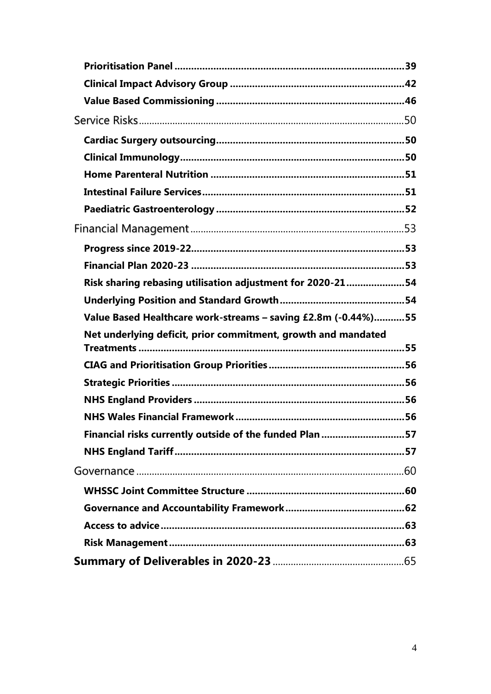| Risk sharing rebasing utilisation adjustment for 2020-2154    |  |
|---------------------------------------------------------------|--|
|                                                               |  |
| Value Based Healthcare work-streams - saving £2.8m (-0.44%)55 |  |
|                                                               |  |
| Net underlying deficit, prior commitment, growth and mandated |  |
|                                                               |  |
|                                                               |  |
|                                                               |  |
|                                                               |  |
|                                                               |  |
| Financial risks currently outside of the funded Plan 57       |  |
|                                                               |  |
|                                                               |  |
|                                                               |  |
|                                                               |  |
|                                                               |  |
|                                                               |  |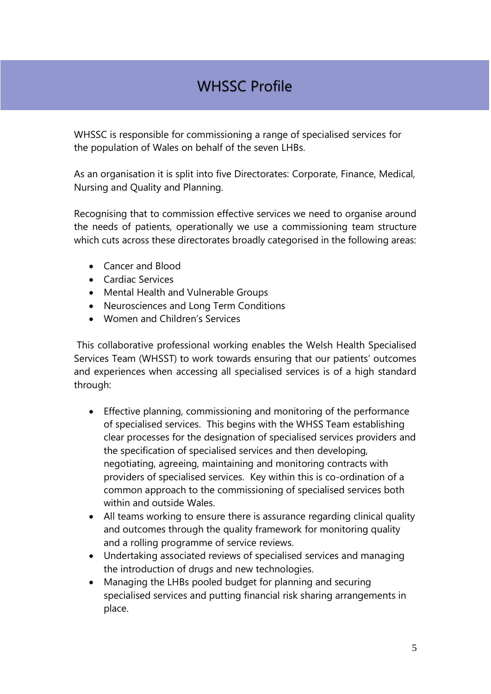# WHSSC Profile

WHSSC is responsible for commissioning a range of specialised services for the population of Wales on behalf of the seven LHBs.

As an organisation it is split into five Directorates: Corporate, Finance, Medical, Nursing and Quality and Planning.

Recognising that to commission effective services we need to organise around the needs of patients, operationally we use a commissioning team structure which cuts across these directorates broadly categorised in the following areas:

- Cancer and Blood
- Cardiac Services
- Mental Health and Vulnerable Groups
- Neurosciences and Long Term Conditions
- Women and Children's Services

This collaborative professional working enables the Welsh Health Specialised Services Team (WHSST) to work towards ensuring that our patients' outcomes and experiences when accessing all specialised services is of a high standard through:

- Effective planning, commissioning and monitoring of the performance of specialised services. This begins with the WHSS Team establishing clear processes for the designation of specialised services providers and the specification of specialised services and then developing, negotiating, agreeing, maintaining and monitoring contracts with providers of specialised services. Key within this is co-ordination of a common approach to the commissioning of specialised services both within and outside Wales.
- All teams working to ensure there is assurance regarding clinical quality and outcomes through the quality framework for monitoring quality and a rolling programme of service reviews.
- Undertaking associated reviews of specialised services and managing the introduction of drugs and new technologies.
- Managing the LHBs pooled budget for planning and securing specialised services and putting financial risk sharing arrangements in place.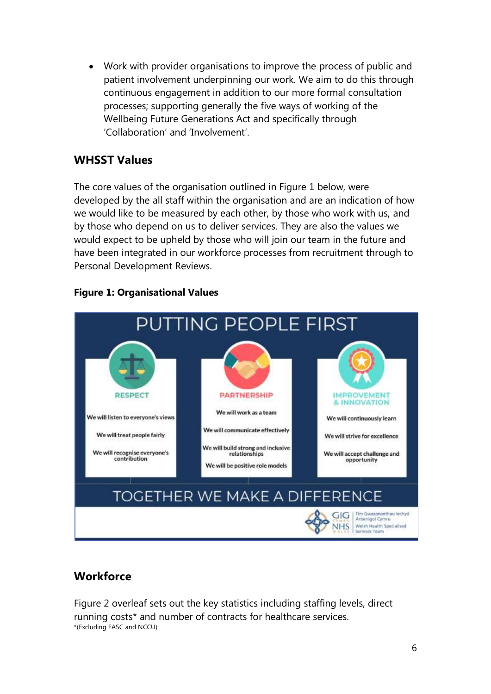Work with provider organisations to improve the process of public and patient involvement underpinning our work. We aim to do this through continuous engagement in addition to our more formal consultation processes; supporting generally the five ways of working of the Wellbeing Future Generations Act and specifically through 'Collaboration' and 'Involvement'.

# <span id="page-5-0"></span>**WHSST Values**

The core values of the organisation outlined in Figure 1 below, were developed by the all staff within the organisation and are an indication of how we would like to be measured by each other, by those who work with us, and by those who depend on us to deliver services. They are also the values we would expect to be upheld by those who will join our team in the future and have been integrated in our workforce processes from recruitment through to Personal Development Reviews.



#### **Figure 1: Organisational Values**

# <span id="page-5-1"></span>**Workforce**

Figure 2 overleaf sets out the key statistics including staffing levels, direct running costs\* and number of contracts for healthcare services. \*(Excluding EASC and NCCU)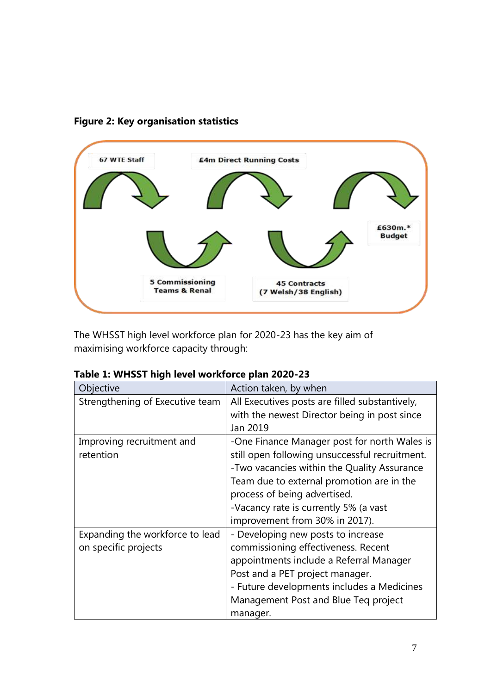



The WHSST high level workforce plan for 2020-23 has the key aim of maximising workforce capacity through:

| Objective                       | Action taken, by when                          |
|---------------------------------|------------------------------------------------|
| Strengthening of Executive team | All Executives posts are filled substantively, |
|                                 | with the newest Director being in post since   |
|                                 | Jan 2019                                       |
| Improving recruitment and       | -One Finance Manager post for north Wales is   |
| retention                       | still open following unsuccessful recruitment. |
|                                 | -Two vacancies within the Quality Assurance    |
|                                 | Team due to external promotion are in the      |
|                                 | process of being advertised.                   |
|                                 | -Vacancy rate is currently 5% (a vast          |
|                                 | improvement from 30% in 2017).                 |
| Expanding the workforce to lead | - Developing new posts to increase             |
| on specific projects            | commissioning effectiveness. Recent            |
|                                 | appointments include a Referral Manager        |
|                                 | Post and a PET project manager.                |
|                                 | - Future developments includes a Medicines     |
|                                 | Management Post and Blue Teq project           |
|                                 | manager.                                       |

| Table 1: WHSST high level workforce plan 2020-23 |  |  |
|--------------------------------------------------|--|--|
|--------------------------------------------------|--|--|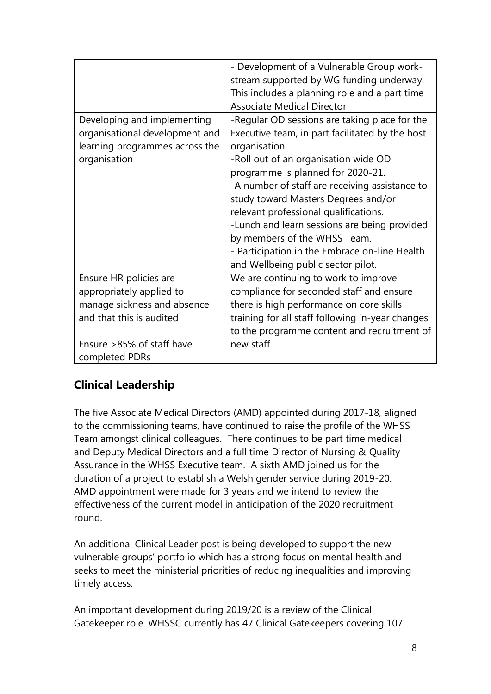|                                | - Development of a Vulnerable Group work-        |
|--------------------------------|--------------------------------------------------|
|                                | stream supported by WG funding underway.         |
|                                | This includes a planning role and a part time    |
|                                |                                                  |
|                                | <b>Associate Medical Director</b>                |
| Developing and implementing    | -Regular OD sessions are taking place for the    |
| organisational development and | Executive team, in part facilitated by the host  |
| learning programmes across the | organisation.                                    |
| organisation                   | -Roll out of an organisation wide OD             |
|                                | programme is planned for 2020-21.                |
|                                | -A number of staff are receiving assistance to   |
|                                | study toward Masters Degrees and/or              |
|                                | relevant professional qualifications.            |
|                                | -Lunch and learn sessions are being provided     |
|                                | by members of the WHSS Team.                     |
|                                | - Participation in the Embrace on-line Health    |
|                                | and Wellbeing public sector pilot.               |
| Ensure HR policies are         | We are continuing to work to improve             |
| appropriately applied to       | compliance for seconded staff and ensure         |
| manage sickness and absence    | there is high performance on core skills         |
| and that this is audited       | training for all staff following in-year changes |
|                                | to the programme content and recruitment of      |
| Ensure >85% of staff have      | new staff.                                       |
| completed PDRs                 |                                                  |

# <span id="page-7-0"></span>**Clinical Leadership**

The five Associate Medical Directors (AMD) appointed during 2017-18, aligned to the commissioning teams, have continued to raise the profile of the WHSS Team amongst clinical colleagues. There continues to be part time medical and Deputy Medical Directors and a full time Director of Nursing & Quality Assurance in the WHSS Executive team. A sixth AMD joined us for the duration of a project to establish a Welsh gender service during 2019-20. AMD appointment were made for 3 years and we intend to review the effectiveness of the current model in anticipation of the 2020 recruitment round.

An additional Clinical Leader post is being developed to support the new vulnerable groups' portfolio which has a strong focus on mental health and seeks to meet the ministerial priorities of reducing inequalities and improving timely access.

An important development during 2019/20 is a review of the Clinical Gatekeeper role. WHSSC currently has 47 Clinical Gatekeepers covering 107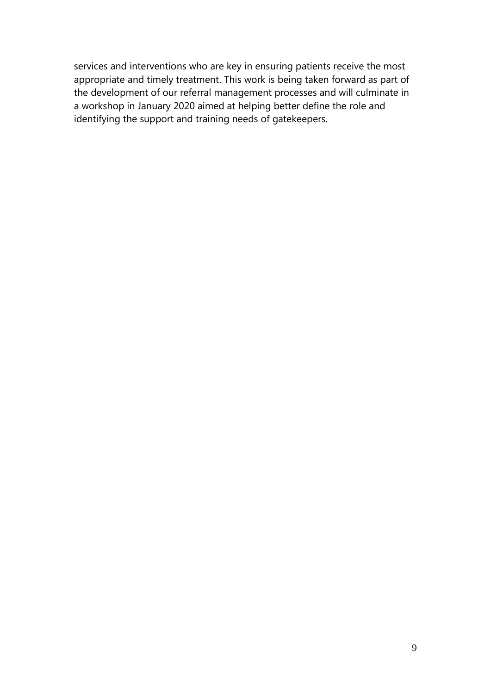services and interventions who are key in ensuring patients receive the most appropriate and timely treatment. This work is being taken forward as part of the development of our referral management processes and will culminate in a workshop in January 2020 aimed at helping better define the role and identifying the support and training needs of gatekeepers.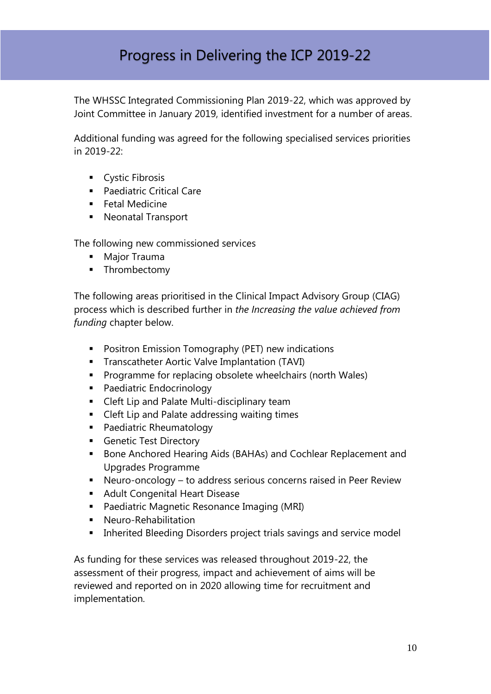# Progress in Delivering the ICP 2019-22

The WHSSC Integrated Commissioning Plan 2019-22, which was approved by Joint Committee in January 2019, identified investment for a number of areas.

Additional funding was agreed for the following specialised services priorities in 2019-22:

- **Cystic Fibrosis**
- **Paediatric Critical Care**
- **Fetal Medicine**
- **Neonatal Transport**

The following new commissioned services

- **Major Trauma**
- **-** Thrombectomy

The following areas prioritised in the Clinical Impact Advisory Group (CIAG) process which is described further in *the Increasing the value achieved from funding* chapter below.

- **•** Positron Emission Tomography (PET) new indications
- **Transcatheter Aortic Valve Implantation (TAVI)**
- **Programme for replacing obsolete wheelchairs (north Wales)**
- **Paediatric Endocrinology**
- **EXECLE** Cleft Lip and Palate Multi-disciplinary team
- Cleft Lip and Palate addressing waiting times
- Paediatric Rheumatology
- **Genetic Test Directory**
- Bone Anchored Hearing Aids (BAHAs) and Cochlear Replacement and Upgrades Programme
- Neuro-oncology to address serious concerns raised in Peer Review
- **Adult Congenital Heart Disease**
- **Paediatric Magnetic Resonance Imaging (MRI)**
- **Neuro-Rehabilitation**
- **Inherited Bleeding Disorders project trials savings and service model**

As funding for these services was released throughout 2019-22, the assessment of their progress, impact and achievement of aims will be reviewed and reported on in 2020 allowing time for recruitment and implementation.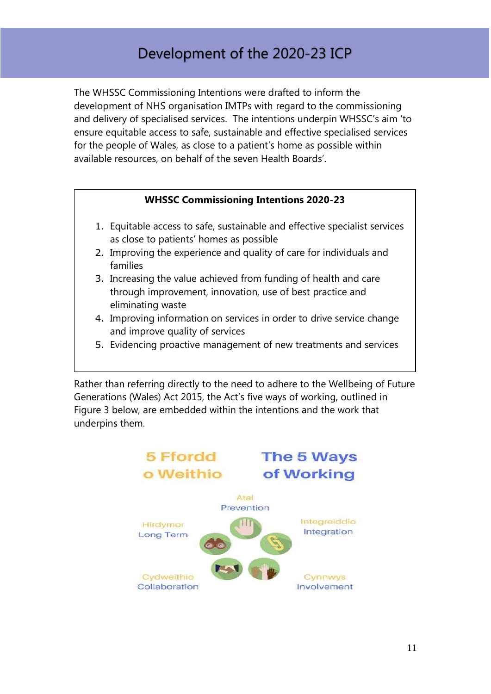# Development of the 2020-23 ICP

The WHSSC Commissioning Intentions were drafted to inform the development of NHS organisation IMTPs with regard to the commissioning and delivery of specialised services. The intentions underpin WHSSC's aim 'to ensure equitable access to safe, sustainable and effective specialised services for the people of Wales, as close to a patient's home as possible within available resources, on behalf of the seven Health Boards'.

#### **WHSSC Commissioning Intentions 2020-23**

- 1. Equitable access to safe, sustainable and effective specialist services as close to patients' homes as possible
- 2. Improving the experience and quality of care for individuals and families
- 3. Increasing the value achieved from funding of health and care through improvement, innovation, use of best practice and eliminating waste
- 4. Improving information on services in order to drive service change and improve quality of services
- 5. Evidencing proactive management of new treatments and services

Rather than referring directly to the need to adhere to the Wellbeing of Future Generations (Wales) Act 2015, the Act's five ways of working, outlined in Figure 3 below, are embedded within the intentions and the work that underpins them.

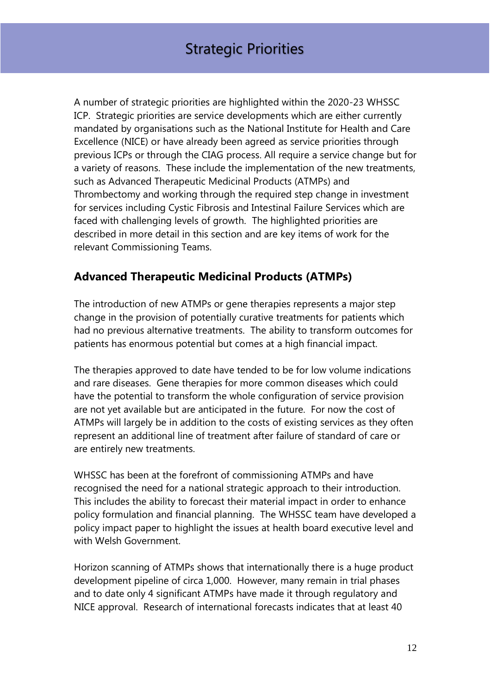A number of strategic priorities are highlighted within the 2020-23 WHSSC ICP. Strategic priorities are service developments which are either currently mandated by organisations such as the National Institute for Health and Care Excellence (NICE) or have already been agreed as service priorities through previous ICPs or through the CIAG process. All require a service change but for a variety of reasons. These include the implementation of the new treatments, such as Advanced Therapeutic Medicinal Products (ATMPs) and Thrombectomy and working through the required step change in investment for services including Cystic Fibrosis and Intestinal Failure Services which are faced with challenging levels of growth. The highlighted priorities are described in more detail in this section and are key items of work for the relevant Commissioning Teams.

# <span id="page-11-0"></span>**Advanced Therapeutic Medicinal Products (ATMPs)**

The introduction of new ATMPs or gene therapies represents a major step change in the provision of potentially curative treatments for patients which had no previous alternative treatments. The ability to transform outcomes for patients has enormous potential but comes at a high financial impact.

The therapies approved to date have tended to be for low volume indications and rare diseases. Gene therapies for more common diseases which could have the potential to transform the whole configuration of service provision are not yet available but are anticipated in the future. For now the cost of ATMPs will largely be in addition to the costs of existing services as they often represent an additional line of treatment after failure of standard of care or are entirely new treatments.

WHSSC has been at the forefront of commissioning ATMPs and have recognised the need for a national strategic approach to their introduction. This includes the ability to forecast their material impact in order to enhance policy formulation and financial planning. The WHSSC team have developed a policy impact paper to highlight the issues at health board executive level and with Welsh Government.

Horizon scanning of ATMPs shows that internationally there is a huge product development pipeline of circa 1,000. However, many remain in trial phases and to date only 4 significant ATMPs have made it through regulatory and NICE approval. Research of international forecasts indicates that at least 40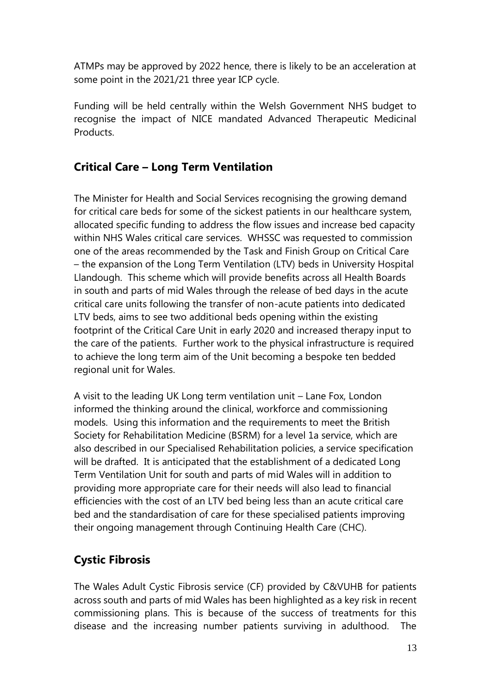ATMPs may be approved by 2022 hence, there is likely to be an acceleration at some point in the 2021/21 three year ICP cycle.

Funding will be held centrally within the Welsh Government NHS budget to recognise the impact of NICE mandated Advanced Therapeutic Medicinal Products.

# <span id="page-12-0"></span>**Critical Care – Long Term Ventilation**

The Minister for Health and Social Services recognising the growing demand for critical care beds for some of the sickest patients in our healthcare system, allocated specific funding to address the flow issues and increase bed capacity within NHS Wales critical care services. WHSSC was requested to commission one of the areas recommended by the Task and Finish Group on Critical Care – the expansion of the Long Term Ventilation (LTV) beds in University Hospital Llandough. This scheme which will provide benefits across all Health Boards in south and parts of mid Wales through the release of bed days in the acute critical care units following the transfer of non-acute patients into dedicated LTV beds, aims to see two additional beds opening within the existing footprint of the Critical Care Unit in early 2020 and increased therapy input to the care of the patients. Further work to the physical infrastructure is required to achieve the long term aim of the Unit becoming a bespoke ten bedded regional unit for Wales.

A visit to the leading UK Long term ventilation unit – Lane Fox, London informed the thinking around the clinical, workforce and commissioning models. Using this information and the requirements to meet the British Society for Rehabilitation Medicine (BSRM) for a level 1a service, which are also described in our Specialised Rehabilitation policies, a service specification will be drafted. It is anticipated that the establishment of a dedicated Long Term Ventilation Unit for south and parts of mid Wales will in addition to providing more appropriate care for their needs will also lead to financial efficiencies with the cost of an LTV bed being less than an acute critical care bed and the standardisation of care for these specialised patients improving their ongoing management through Continuing Health Care (CHC).

# <span id="page-12-1"></span>**Cystic Fibrosis**

The Wales Adult Cystic Fibrosis service (CF) provided by C&VUHB for patients across south and parts of mid Wales has been highlighted as a key risk in recent commissioning plans. This is because of the success of treatments for this disease and the increasing number patients surviving in adulthood. The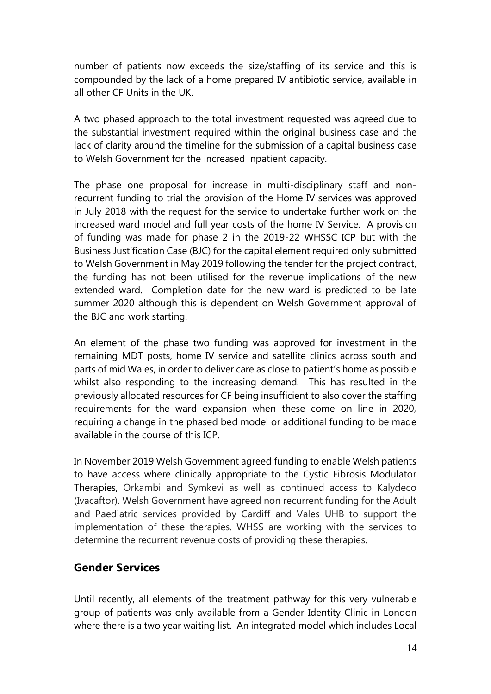number of patients now exceeds the size/staffing of its service and this is compounded by the lack of a home prepared IV antibiotic service, available in all other CF Units in the UK.

A two phased approach to the total investment requested was agreed due to the substantial investment required within the original business case and the lack of clarity around the timeline for the submission of a capital business case to Welsh Government for the increased inpatient capacity.

The phase one proposal for increase in multi-disciplinary staff and nonrecurrent funding to trial the provision of the Home IV services was approved in July 2018 with the request for the service to undertake further work on the increased ward model and full year costs of the home IV Service. A provision of funding was made for phase 2 in the 2019-22 WHSSC ICP but with the Business Justification Case (BJC) for the capital element required only submitted to Welsh Government in May 2019 following the tender for the project contract, the funding has not been utilised for the revenue implications of the new extended ward. Completion date for the new ward is predicted to be late summer 2020 although this is dependent on Welsh Government approval of the BJC and work starting.

An element of the phase two funding was approved for investment in the remaining MDT posts, home IV service and satellite clinics across south and parts of mid Wales, in order to deliver care as close to patient's home as possible whilst also responding to the increasing demand. This has resulted in the previously allocated resources for CF being insufficient to also cover the staffing requirements for the ward expansion when these come on line in 2020, requiring a change in the phased bed model or additional funding to be made available in the course of this ICP.

In November 2019 Welsh Government agreed funding to enable Welsh patients to have access where clinically appropriate to the Cystic Fibrosis Modulator Therapies, Orkambi and Symkevi as well as continued access to Kalydeco (Ivacaftor). Welsh Government have agreed non recurrent funding for the Adult and Paediatric services provided by Cardiff and Vales UHB to support the implementation of these therapies. WHSS are working with the services to determine the recurrent revenue costs of providing these therapies.

#### <span id="page-13-0"></span>**Gender Services**

Until recently, all elements of the treatment pathway for this very vulnerable group of patients was only available from a Gender Identity Clinic in London where there is a two year waiting list. An integrated model which includes Local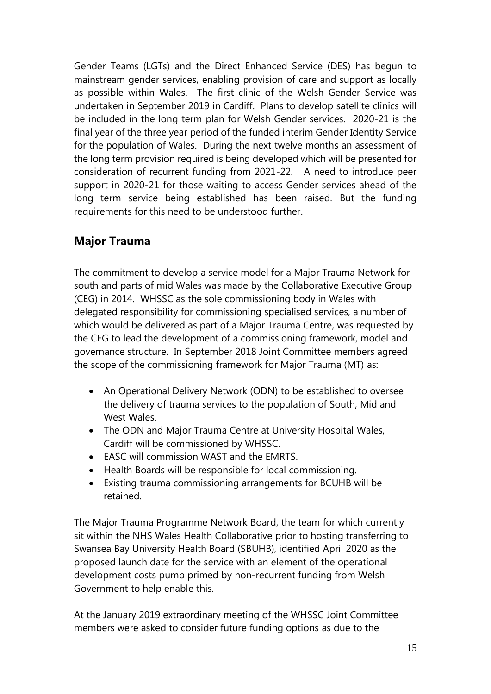Gender Teams (LGTs) and the Direct Enhanced Service (DES) has begun to mainstream gender services, enabling provision of care and support as locally as possible within Wales. The first clinic of the Welsh Gender Service was undertaken in September 2019 in Cardiff. Plans to develop satellite clinics will be included in the long term plan for Welsh Gender services. 2020-21 is the final year of the three year period of the funded interim Gender Identity Service for the population of Wales. During the next twelve months an assessment of the long term provision required is being developed which will be presented for consideration of recurrent funding from 2021-22. A need to introduce peer support in 2020-21 for those waiting to access Gender services ahead of the long term service being established has been raised. But the funding requirements for this need to be understood further.

# <span id="page-14-0"></span>**Major Trauma**

The commitment to develop a service model for a Major Trauma Network for south and parts of mid Wales was made by the Collaborative Executive Group (CEG) in 2014. WHSSC as the sole commissioning body in Wales with delegated responsibility for commissioning specialised services, a number of which would be delivered as part of a Major Trauma Centre, was requested by the CEG to lead the development of a commissioning framework, model and governance structure. In September 2018 Joint Committee members agreed the scope of the commissioning framework for Major Trauma (MT) as:

- An Operational Delivery Network (ODN) to be established to oversee the delivery of trauma services to the population of South, Mid and West Wales.
- The ODN and Major Trauma Centre at University Hospital Wales, Cardiff will be commissioned by WHSSC.
- EASC will commission WAST and the EMRTS.
- Health Boards will be responsible for local commissioning.
- Existing trauma commissioning arrangements for BCUHB will be retained.

The Major Trauma Programme Network Board, the team for which currently sit within the NHS Wales Health Collaborative prior to hosting transferring to Swansea Bay University Health Board (SBUHB), identified April 2020 as the proposed launch date for the service with an element of the operational development costs pump primed by non-recurrent funding from Welsh Government to help enable this.

At the January 2019 extraordinary meeting of the WHSSC Joint Committee members were asked to consider future funding options as due to the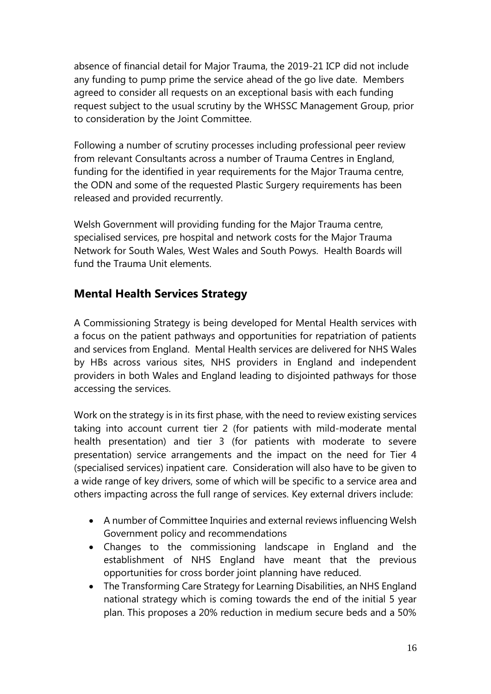absence of financial detail for Major Trauma, the 2019-21 ICP did not include any funding to pump prime the service ahead of the go live date. Members agreed to consider all requests on an exceptional basis with each funding request subject to the usual scrutiny by the WHSSC Management Group, prior to consideration by the Joint Committee.

Following a number of scrutiny processes including professional peer review from relevant Consultants across a number of Trauma Centres in England, funding for the identified in year requirements for the Major Trauma centre, the ODN and some of the requested Plastic Surgery requirements has been released and provided recurrently.

Welsh Government will providing funding for the Major Trauma centre, specialised services, pre hospital and network costs for the Major Trauma Network for South Wales, West Wales and South Powys. Health Boards will fund the Trauma Unit elements.

# <span id="page-15-0"></span>**Mental Health Services Strategy**

A Commissioning Strategy is being developed for Mental Health services with a focus on the patient pathways and opportunities for repatriation of patients and services from England. Mental Health services are delivered for NHS Wales by HBs across various sites, NHS providers in England and independent providers in both Wales and England leading to disjointed pathways for those accessing the services.

Work on the strategy is in its first phase, with the need to review existing services taking into account current tier 2 (for patients with mild-moderate mental health presentation) and tier 3 (for patients with moderate to severe presentation) service arrangements and the impact on the need for Tier 4 (specialised services) inpatient care. Consideration will also have to be given to a wide range of key drivers, some of which will be specific to a service area and others impacting across the full range of services. Key external drivers include:

- A number of Committee Inquiries and external reviews influencing Welsh Government policy and recommendations
- Changes to the commissioning landscape in England and the establishment of NHS England have meant that the previous opportunities for cross border joint planning have reduced.
- The Transforming Care Strategy for Learning Disabilities, an NHS England national strategy which is coming towards the end of the initial 5 year plan. This proposes a 20% reduction in medium secure beds and a 50%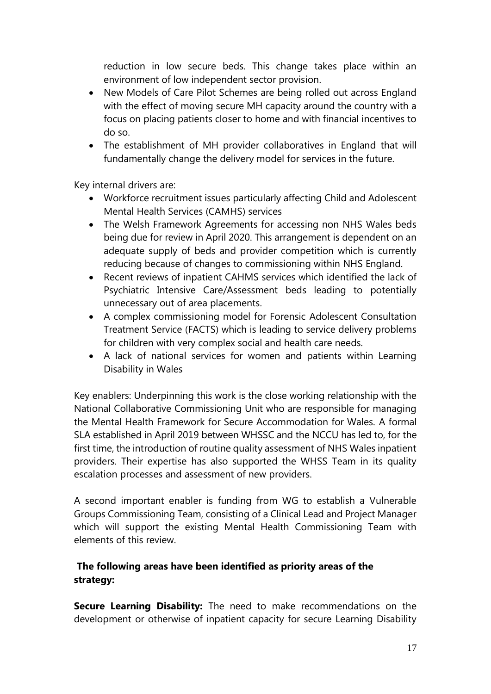reduction in low secure beds. This change takes place within an environment of low independent sector provision.

- New Models of Care Pilot Schemes are being rolled out across England with the effect of moving secure MH capacity around the country with a focus on placing patients closer to home and with financial incentives to do so.
- The establishment of MH provider collaboratives in England that will fundamentally change the delivery model for services in the future.

Key internal drivers are:

- Workforce recruitment issues particularly affecting Child and Adolescent Mental Health Services (CAMHS) services
- The Welsh Framework Agreements for accessing non NHS Wales beds being due for review in April 2020. This arrangement is dependent on an adequate supply of beds and provider competition which is currently reducing because of changes to commissioning within NHS England.
- Recent reviews of inpatient CAHMS services which identified the lack of Psychiatric Intensive Care/Assessment beds leading to potentially unnecessary out of area placements.
- A complex commissioning model for Forensic Adolescent Consultation Treatment Service (FACTS) which is leading to service delivery problems for children with very complex social and health care needs.
- A lack of national services for women and patients within Learning Disability in Wales

Key enablers: Underpinning this work is the close working relationship with the National Collaborative Commissioning Unit who are responsible for managing the Mental Health Framework for Secure Accommodation for Wales. A formal SLA established in April 2019 between WHSSC and the NCCU has led to, for the first time, the introduction of routine quality assessment of NHS Wales inpatient providers. Their expertise has also supported the WHSS Team in its quality escalation processes and assessment of new providers.

A second important enabler is funding from WG to establish a Vulnerable Groups Commissioning Team, consisting of a Clinical Lead and Project Manager which will support the existing Mental Health Commissioning Team with elements of this review.

#### **The following areas have been identified as priority areas of the strategy:**

**Secure Learning Disability:** The need to make recommendations on the development or otherwise of inpatient capacity for secure Learning Disability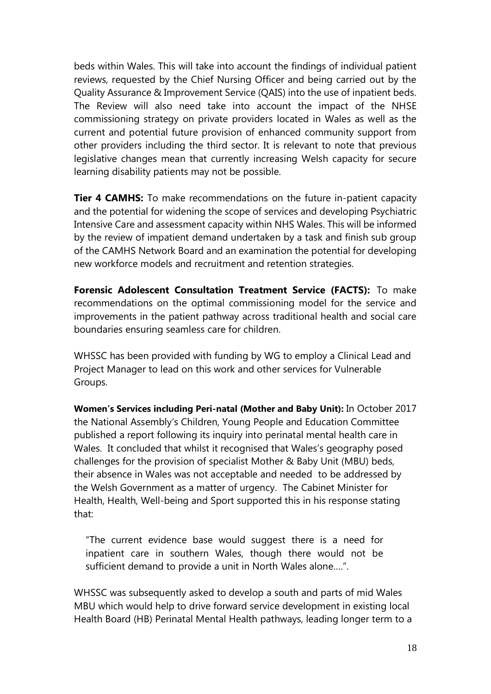beds within Wales. This will take into account the findings of individual patient reviews, requested by the Chief Nursing Officer and being carried out by the Quality Assurance & Improvement Service (QAIS) into the use of inpatient beds. The Review will also need take into account the impact of the NHSE commissioning strategy on private providers located in Wales as well as the current and potential future provision of enhanced community support from other providers including the third sector. It is relevant to note that previous legislative changes mean that currently increasing Welsh capacity for secure learning disability patients may not be possible.

**Tier 4 CAMHS:** To make recommendations on the future in-patient capacity and the potential for widening the scope of services and developing Psychiatric Intensive Care and assessment capacity within NHS Wales. This will be informed by the review of impatient demand undertaken by a task and finish sub group of the CAMHS Network Board and an examination the potential for developing new workforce models and recruitment and retention strategies.

**Forensic Adolescent Consultation Treatment Service (FACTS):** To make recommendations on the optimal commissioning model for the service and improvements in the patient pathway across traditional health and social care boundaries ensuring seamless care for children.

WHSSC has been provided with funding by WG to employ a Clinical Lead and Project Manager to lead on this work and other services for Vulnerable Groups.

**Women's Services including Peri-natal (Mother and Baby Unit):** In October 2017 the National Assembly's Children, Young People and Education Committee published a report following its inquiry into perinatal mental health care in Wales. It concluded that whilst it recognised that Wales's geography posed challenges for the provision of specialist Mother & Baby Unit (MBU) beds, their absence in Wales was not acceptable and needed to be addressed by the Welsh Government as a matter of urgency. The Cabinet Minister for Health, Health, Well-being and Sport supported this in his response stating that:

"The current evidence base would suggest there is a need for inpatient care in southern Wales, though there would not be sufficient demand to provide a unit in North Wales alone….".

WHSSC was subsequently asked to develop a south and parts of mid Wales MBU which would help to drive forward service development in existing local Health Board (HB) Perinatal Mental Health pathways, leading longer term to a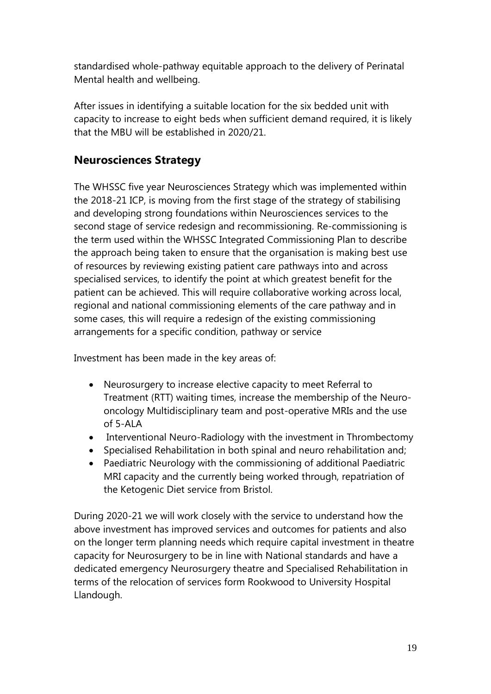standardised whole-pathway equitable approach to the delivery of Perinatal Mental health and wellbeing.

After issues in identifying a suitable location for the six bedded unit with capacity to increase to eight beds when sufficient demand required, it is likely that the MBU will be established in 2020/21.

# **Neurosciences Strategy**

The WHSSC five year Neurosciences Strategy which was implemented within the 2018-21 ICP, is moving from the first stage of the strategy of stabilising and developing strong foundations within Neurosciences services to the second stage of service redesign and recommissioning. Re-commissioning is the term used within the WHSSC Integrated Commissioning Plan to describe the approach being taken to ensure that the organisation is making best use of resources by reviewing existing patient care pathways into and across specialised services, to identify the point at which greatest benefit for the patient can be achieved. This will require collaborative working across local, regional and national commissioning elements of the care pathway and in some cases, this will require a redesign of the existing commissioning arrangements for a specific condition, pathway or service

Investment has been made in the key areas of:

- Neurosurgery to increase elective capacity to meet Referral to Treatment (RTT) waiting times, increase the membership of the Neurooncology Multidisciplinary team and post-operative MRIs and the use of 5-ALA
- Interventional Neuro-Radiology with the investment in Thrombectomy
- Specialised Rehabilitation in both spinal and neuro rehabilitation and;
- Paediatric Neurology with the commissioning of additional Paediatric MRI capacity and the currently being worked through, repatriation of the Ketogenic Diet service from Bristol.

During 2020-21 we will work closely with the service to understand how the above investment has improved services and outcomes for patients and also on the longer term planning needs which require capital investment in theatre capacity for Neurosurgery to be in line with National standards and have a dedicated emergency Neurosurgery theatre and Specialised Rehabilitation in terms of the relocation of services form Rookwood to University Hospital Llandough.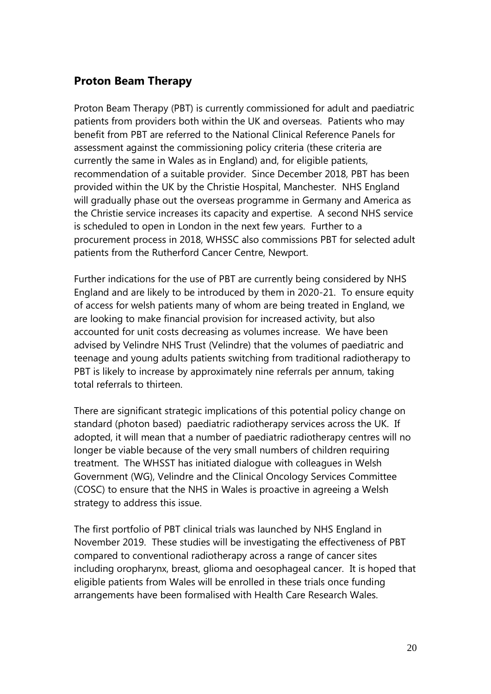# <span id="page-19-0"></span>**Proton Beam Therapy**

Proton Beam Therapy (PBT) is currently commissioned for adult and paediatric patients from providers both within the UK and overseas. Patients who may benefit from PBT are referred to the National Clinical Reference Panels for assessment against the commissioning policy criteria (these criteria are currently the same in Wales as in England) and, for eligible patients, recommendation of a suitable provider. Since December 2018, PBT has been provided within the UK by the Christie Hospital, Manchester. NHS England will gradually phase out the overseas programme in Germany and America as the Christie service increases its capacity and expertise. A second NHS service is scheduled to open in London in the next few years. Further to a procurement process in 2018, WHSSC also commissions PBT for selected adult patients from the Rutherford Cancer Centre, Newport.

Further indications for the use of PBT are currently being considered by NHS England and are likely to be introduced by them in 2020-21. To ensure equity of access for welsh patients many of whom are being treated in England, we are looking to make financial provision for increased activity, but also accounted for unit costs decreasing as volumes increase. We have been advised by Velindre NHS Trust (Velindre) that the volumes of paediatric and teenage and young adults patients switching from traditional radiotherapy to PBT is likely to increase by approximately nine referrals per annum, taking total referrals to thirteen.

There are significant strategic implications of this potential policy change on standard (photon based) paediatric radiotherapy services across the UK. If adopted, it will mean that a number of paediatric radiotherapy centres will no longer be viable because of the very small numbers of children requiring treatment. The WHSST has initiated dialogue with colleagues in Welsh Government (WG), Velindre and the Clinical Oncology Services Committee (COSC) to ensure that the NHS in Wales is proactive in agreeing a Welsh strategy to address this issue.

The first portfolio of PBT clinical trials was launched by NHS England in November 2019. These studies will be investigating the effectiveness of PBT compared to conventional radiotherapy across a range of cancer sites including oropharynx, breast, glioma and oesophageal cancer. It is hoped that eligible patients from Wales will be enrolled in these trials once funding arrangements have been formalised with Health Care Research Wales.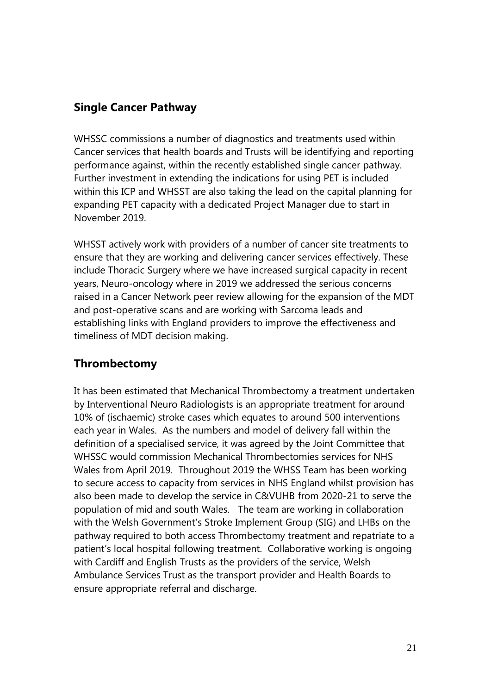# <span id="page-20-0"></span>**Single Cancer Pathway**

WHSSC commissions a number of diagnostics and treatments used within Cancer services that health boards and Trusts will be identifying and reporting performance against, within the recently established single cancer pathway. Further investment in extending the indications for using PET is included within this ICP and WHSST are also taking the lead on the capital planning for expanding PET capacity with a dedicated Project Manager due to start in November 2019.

WHSST actively work with providers of a number of cancer site treatments to ensure that they are working and delivering cancer services effectively. These include Thoracic Surgery where we have increased surgical capacity in recent years, Neuro-oncology where in 2019 we addressed the serious concerns raised in a Cancer Network peer review allowing for the expansion of the MDT and post-operative scans and are working with Sarcoma leads and establishing links with England providers to improve the effectiveness and timeliness of MDT decision making.

# <span id="page-20-1"></span>**Thrombectomy**

It has been estimated that Mechanical Thrombectomy a treatment undertaken by Interventional Neuro Radiologists is an appropriate treatment for around 10% of (ischaemic) stroke cases which equates to around 500 interventions each year in Wales. As the numbers and model of delivery fall within the definition of a specialised service, it was agreed by the Joint Committee that WHSSC would commission Mechanical Thrombectomies services for NHS Wales from April 2019. Throughout 2019 the WHSS Team has been working to secure access to capacity from services in NHS England whilst provision has also been made to develop the service in C&VUHB from 2020-21 to serve the population of mid and south Wales. The team are working in collaboration with the Welsh Government's Stroke Implement Group (SIG) and LHBs on the pathway required to both access Thrombectomy treatment and repatriate to a patient's local hospital following treatment. Collaborative working is ongoing with Cardiff and English Trusts as the providers of the service, Welsh Ambulance Services Trust as the transport provider and Health Boards to ensure appropriate referral and discharge.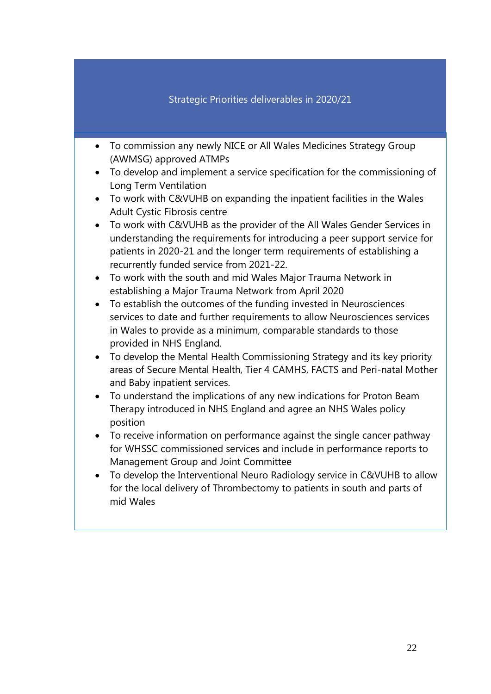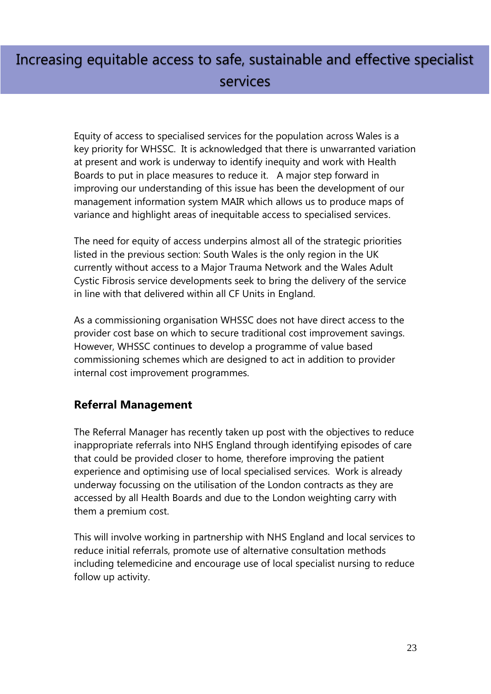# Increasing equitable access to safe, sustainable and effective specialist services

Equity of access to specialised services for the population across Wales is a key priority for WHSSC. It is acknowledged that there is unwarranted variation at present and work is underway to identify inequity and work with Health Boards to put in place measures to reduce it. A major step forward in improving our understanding of this issue has been the development of our management information system MAIR which allows us to produce maps of variance and highlight areas of inequitable access to specialised services.

The need for equity of access underpins almost all of the strategic priorities listed in the previous section: South Wales is the only region in the UK currently without access to a Major Trauma Network and the Wales Adult Cystic Fibrosis service developments seek to bring the delivery of the service in line with that delivered within all CF Units in England.

As a commissioning organisation WHSSC does not have direct access to the provider cost base on which to secure traditional cost improvement savings. However, WHSSC continues to develop a programme of value based commissioning schemes which are designed to act in addition to provider internal cost improvement programmes.

# <span id="page-22-0"></span>**Referral Management**

The Referral Manager has recently taken up post with the objectives to reduce inappropriate referrals into NHS England through identifying episodes of care that could be provided closer to home, therefore improving the patient experience and optimising use of local specialised services. Work is already underway focussing on the utilisation of the London contracts as they are accessed by all Health Boards and due to the London weighting carry with them a premium cost.

This will involve working in partnership with NHS England and local services to reduce initial referrals, promote use of alternative consultation methods including telemedicine and encourage use of local specialist nursing to reduce follow up activity.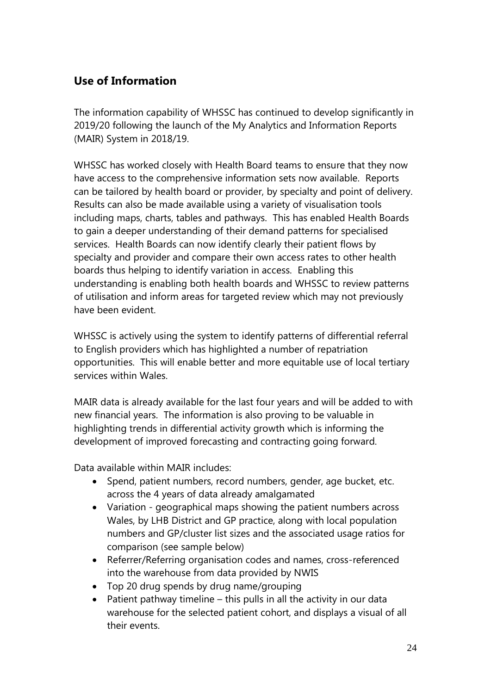# <span id="page-23-0"></span>**Use of Information**

The information capability of WHSSC has continued to develop significantly in 2019/20 following the launch of the My Analytics and Information Reports (MAIR) System in 2018/19.

WHSSC has worked closely with Health Board teams to ensure that they now have access to the comprehensive information sets now available. Reports can be tailored by health board or provider, by specialty and point of delivery. Results can also be made available using a variety of visualisation tools including maps, charts, tables and pathways. This has enabled Health Boards to gain a deeper understanding of their demand patterns for specialised services. Health Boards can now identify clearly their patient flows by specialty and provider and compare their own access rates to other health boards thus helping to identify variation in access. Enabling this understanding is enabling both health boards and WHSSC to review patterns of utilisation and inform areas for targeted review which may not previously have been evident.

WHSSC is actively using the system to identify patterns of differential referral to English providers which has highlighted a number of repatriation opportunities. This will enable better and more equitable use of local tertiary services within Wales.

MAIR data is already available for the last four years and will be added to with new financial years. The information is also proving to be valuable in highlighting trends in differential activity growth which is informing the development of improved forecasting and contracting going forward.

Data available within MAIR includes:

- Spend, patient numbers, record numbers, gender, age bucket, etc. across the 4 years of data already amalgamated
- Variation geographical maps showing the patient numbers across Wales, by LHB District and GP practice, along with local population numbers and GP/cluster list sizes and the associated usage ratios for comparison (see sample below)
- Referrer/Referring organisation codes and names, cross-referenced into the warehouse from data provided by NWIS
- Top 20 drug spends by drug name/grouping
- Patient pathway timeline this pulls in all the activity in our data warehouse for the selected patient cohort, and displays a visual of all their events.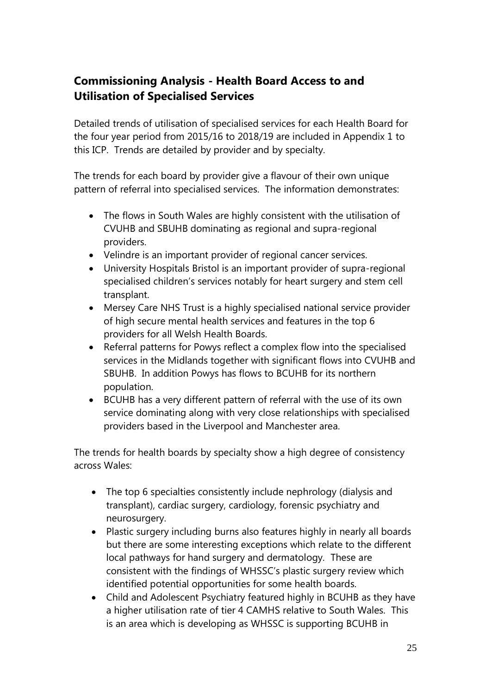# <span id="page-24-0"></span>**Commissioning Analysis - Health Board Access to and Utilisation of Specialised Services**

Detailed trends of utilisation of specialised services for each Health Board for the four year period from 2015/16 to 2018/19 are included in Appendix 1 to this ICP. Trends are detailed by provider and by specialty.

The trends for each board by provider give a flavour of their own unique pattern of referral into specialised services. The information demonstrates:

- The flows in South Wales are highly consistent with the utilisation of CVUHB and SBUHB dominating as regional and supra-regional providers.
- Velindre is an important provider of regional cancer services.
- University Hospitals Bristol is an important provider of supra-regional specialised children's services notably for heart surgery and stem cell transplant.
- Mersey Care NHS Trust is a highly specialised national service provider of high secure mental health services and features in the top 6 providers for all Welsh Health Boards.
- Referral patterns for Powys reflect a complex flow into the specialised services in the Midlands together with significant flows into CVUHB and SBUHB. In addition Powys has flows to BCUHB for its northern population.
- BCUHB has a very different pattern of referral with the use of its own service dominating along with very close relationships with specialised providers based in the Liverpool and Manchester area.

The trends for health boards by specialty show a high degree of consistency across Wales:

- The top 6 specialties consistently include nephrology (dialysis and transplant), cardiac surgery, cardiology, forensic psychiatry and neurosurgery.
- Plastic surgery including burns also features highly in nearly all boards but there are some interesting exceptions which relate to the different local pathways for hand surgery and dermatology. These are consistent with the findings of WHSSC's plastic surgery review which identified potential opportunities for some health boards.
- Child and Adolescent Psychiatry featured highly in BCUHB as they have a higher utilisation rate of tier 4 CAMHS relative to South Wales. This is an area which is developing as WHSSC is supporting BCUHB in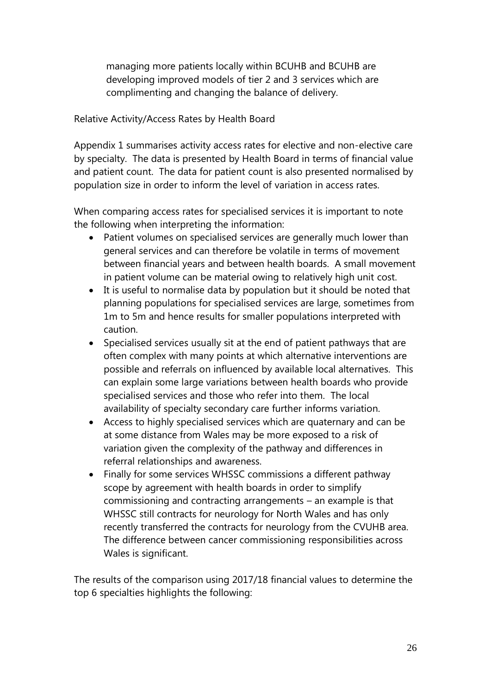managing more patients locally within BCUHB and BCUHB are developing improved models of tier 2 and 3 services which are complimenting and changing the balance of delivery.

#### Relative Activity/Access Rates by Health Board

Appendix 1 summarises activity access rates for elective and non-elective care by specialty. The data is presented by Health Board in terms of financial value and patient count. The data for patient count is also presented normalised by population size in order to inform the level of variation in access rates.

When comparing access rates for specialised services it is important to note the following when interpreting the information:

- Patient volumes on specialised services are generally much lower than general services and can therefore be volatile in terms of movement between financial years and between health boards. A small movement in patient volume can be material owing to relatively high unit cost.
- It is useful to normalise data by population but it should be noted that planning populations for specialised services are large, sometimes from 1m to 5m and hence results for smaller populations interpreted with caution.
- Specialised services usually sit at the end of patient pathways that are often complex with many points at which alternative interventions are possible and referrals on influenced by available local alternatives. This can explain some large variations between health boards who provide specialised services and those who refer into them. The local availability of specialty secondary care further informs variation.
- Access to highly specialised services which are quaternary and can be at some distance from Wales may be more exposed to a risk of variation given the complexity of the pathway and differences in referral relationships and awareness.
- Finally for some services WHSSC commissions a different pathway scope by agreement with health boards in order to simplify commissioning and contracting arrangements – an example is that WHSSC still contracts for neurology for North Wales and has only recently transferred the contracts for neurology from the CVUHB area. The difference between cancer commissioning responsibilities across Wales is significant.

The results of the comparison using 2017/18 financial values to determine the top 6 specialties highlights the following: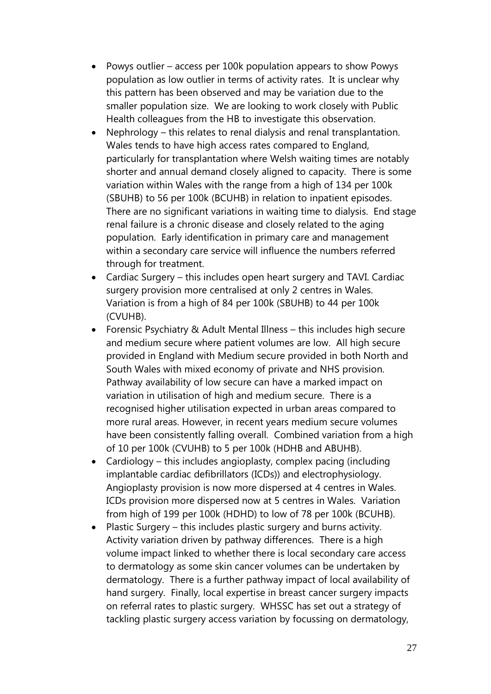- Powys outlier access per 100k population appears to show Powys population as low outlier in terms of activity rates. It is unclear why this pattern has been observed and may be variation due to the smaller population size. We are looking to work closely with Public Health colleagues from the HB to investigate this observation.
- Nephrology this relates to renal dialysis and renal transplantation. Wales tends to have high access rates compared to England, particularly for transplantation where Welsh waiting times are notably shorter and annual demand closely aligned to capacity. There is some variation within Wales with the range from a high of 134 per 100k (SBUHB) to 56 per 100k (BCUHB) in relation to inpatient episodes. There are no significant variations in waiting time to dialysis. End stage renal failure is a chronic disease and closely related to the aging population. Early identification in primary care and management within a secondary care service will influence the numbers referred through for treatment.
- Cardiac Surgery this includes open heart surgery and TAVI. Cardiac surgery provision more centralised at only 2 centres in Wales. Variation is from a high of 84 per 100k (SBUHB) to 44 per 100k (CVUHB).
- Forensic Psychiatry & Adult Mental Illness this includes high secure and medium secure where patient volumes are low. All high secure provided in England with Medium secure provided in both North and South Wales with mixed economy of private and NHS provision. Pathway availability of low secure can have a marked impact on variation in utilisation of high and medium secure. There is a recognised higher utilisation expected in urban areas compared to more rural areas. However, in recent years medium secure volumes have been consistently falling overall. Combined variation from a high of 10 per 100k (CVUHB) to 5 per 100k (HDHB and ABUHB).
- Cardiology this includes angioplasty, complex pacing (including implantable cardiac defibrillators (ICDs)) and electrophysiology. Angioplasty provision is now more dispersed at 4 centres in Wales. ICDs provision more dispersed now at 5 centres in Wales. Variation from high of 199 per 100k (HDHD) to low of 78 per 100k (BCUHB).
- Plastic Surgery this includes plastic surgery and burns activity. Activity variation driven by pathway differences. There is a high volume impact linked to whether there is local secondary care access to dermatology as some skin cancer volumes can be undertaken by dermatology. There is a further pathway impact of local availability of hand surgery. Finally, local expertise in breast cancer surgery impacts on referral rates to plastic surgery. WHSSC has set out a strategy of tackling plastic surgery access variation by focussing on dermatology,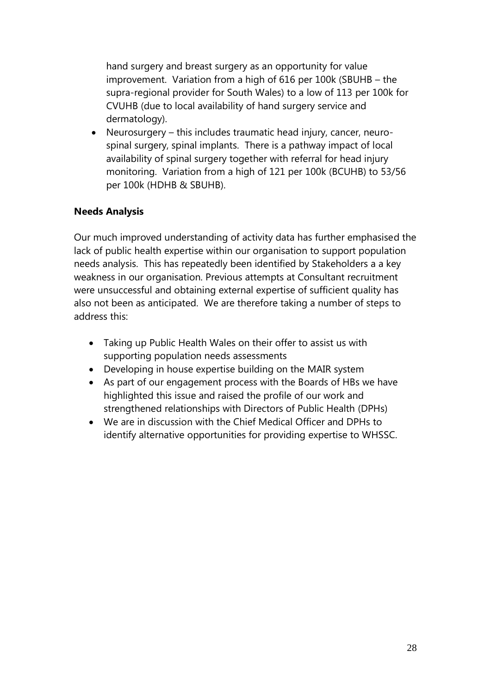hand surgery and breast surgery as an opportunity for value improvement. Variation from a high of 616 per 100k (SBUHB – the supra-regional provider for South Wales) to a low of 113 per 100k for CVUHB (due to local availability of hand surgery service and dermatology).

• Neurosurgery – this includes traumatic head injury, cancer, neurospinal surgery, spinal implants. There is a pathway impact of local availability of spinal surgery together with referral for head injury monitoring. Variation from a high of 121 per 100k (BCUHB) to 53/56 per 100k (HDHB & SBUHB).

#### **Needs Analysis**

Our much improved understanding of activity data has further emphasised the lack of public health expertise within our organisation to support population needs analysis. This has repeatedly been identified by Stakeholders a a key weakness in our organisation. Previous attempts at Consultant recruitment were unsuccessful and obtaining external expertise of sufficient quality has also not been as anticipated. We are therefore taking a number of steps to address this:

- Taking up Public Health Wales on their offer to assist us with supporting population needs assessments
- Developing in house expertise building on the MAIR system
- As part of our engagement process with the Boards of HBs we have highlighted this issue and raised the profile of our work and strengthened relationships with Directors of Public Health (DPHs)
- We are in discussion with the Chief Medical Officer and DPHs to identify alternative opportunities for providing expertise to WHSSC.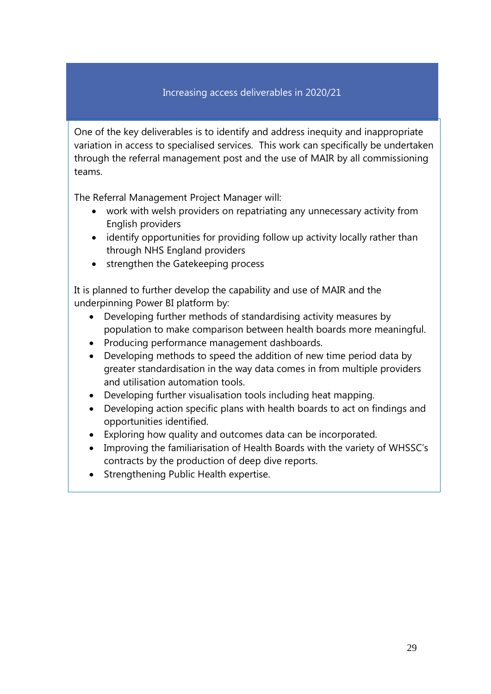#### Increasing access deliverables in 2020/21

One of the key deliverables is to identify and address inequity and inappropriate variation in access to specialised services. This work can specifically be undertaken through the referral management post and the use of MAIR by all commissioning teams.

The Referral Management Project Manager will:

- work with welsh providers on repatriating any unnecessary activity from English providers
- identify opportunities for providing follow up activity locally rather than through NHS England providers
- strengthen the Gatekeeping process

It is planned to further develop the capability and use of MAIR and the underpinning Power BI platform by:

- Developing further methods of standardising activity measures by population to make comparison between health boards more meaningful.
- Producing performance management dashboards.
- Developing methods to speed the addition of new time period data by greater standardisation in the way data comes in from multiple providers and utilisation automation tools.
- Developing further visualisation tools including heat mapping.
- Developing action specific plans with health boards to act on findings and opportunities identified.
- Exploring how quality and outcomes data can be incorporated.
- Improving the familiarisation of Health Boards with the variety of WHSSC's contracts by the production of deep dive reports.
- Strengthening Public Health expertise.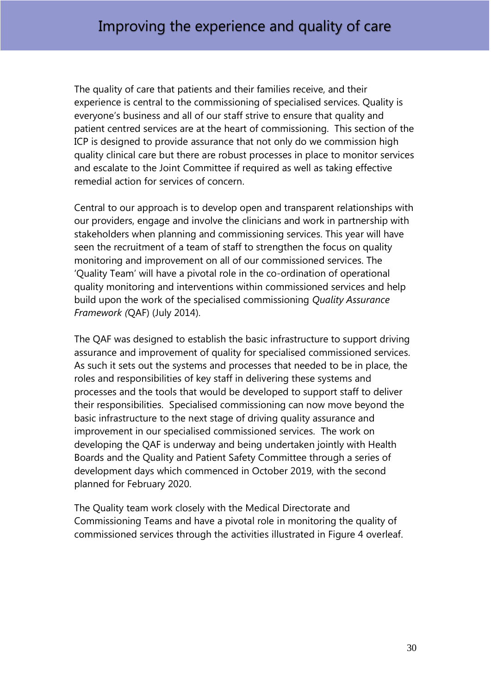The quality of care that patients and their families receive, and their experience is central to the commissioning of specialised services. Quality is everyone's business and all of our staff strive to ensure that quality and patient centred services are at the heart of commissioning. This section of the ICP is designed to provide assurance that not only do we commission high quality clinical care but there are robust processes in place to monitor services and escalate to the Joint Committee if required as well as taking effective remedial action for services of concern.

Central to our approach is to develop open and transparent relationships with our providers, engage and involve the clinicians and work in partnership with stakeholders when planning and commissioning services. This year will have seen the recruitment of a team of staff to strengthen the focus on quality monitoring and improvement on all of our commissioned services. The 'Quality Team' will have a pivotal role in the co-ordination of operational quality monitoring and interventions within commissioned services and help build upon the work of the specialised commissioning *Quality Assurance Framework (*QAF) (July 2014).

The QAF was designed to establish the basic infrastructure to support driving assurance and improvement of quality for specialised commissioned services. As such it sets out the systems and processes that needed to be in place, the roles and responsibilities of key staff in delivering these systems and processes and the tools that would be developed to support staff to deliver their responsibilities. Specialised commissioning can now move beyond the basic infrastructure to the next stage of driving quality assurance and improvement in our specialised commissioned services. The work on developing the QAF is underway and being undertaken jointly with Health Boards and the Quality and Patient Safety Committee through a series of development days which commenced in October 2019, with the second planned for February 2020.

The Quality team work closely with the Medical Directorate and Commissioning Teams and have a pivotal role in monitoring the quality of commissioned services through the activities illustrated in Figure 4 overleaf.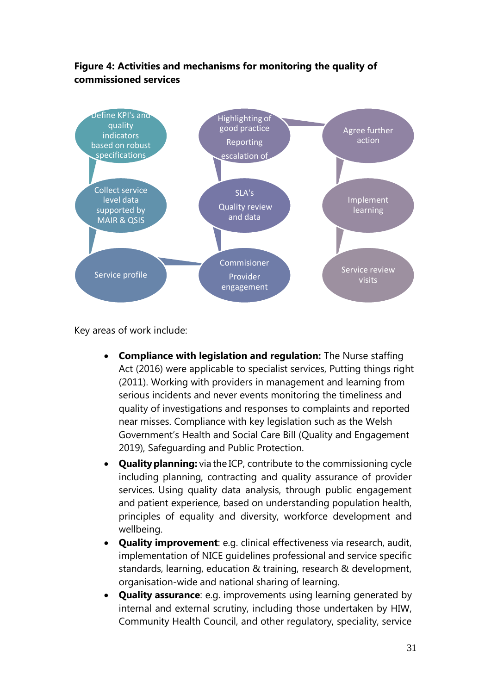#### **Figure 4: Activities and mechanisms for monitoring the quality of commissioned services**



Key areas of work include:

- **Compliance with legislation and regulation:** The Nurse staffing Act (2016) were applicable to specialist services, Putting things right (2011). Working with providers in management and learning from serious incidents and never events monitoring the timeliness and quality of investigations and responses to complaints and reported near misses. Compliance with key legislation such as the Welsh Government's Health and Social Care Bill (Quality and Engagement 2019), Safeguarding and Public Protection.
- **Quality planning:** via the ICP, contribute to the commissioning cycle including planning, contracting and quality assurance of provider services. Using quality data analysis, through public engagement and patient experience, based on understanding population health, principles of equality and diversity, workforce development and wellbeing.
- **Quality improvement**: e.g. clinical effectiveness via research, audit, implementation of NICE guidelines professional and service specific standards, learning, education & training, research & development, organisation-wide and national sharing of learning.
- **Quality assurance**: e.g. improvements using learning generated by internal and external scrutiny, including those undertaken by HIW, Community Health Council, and other regulatory, speciality, service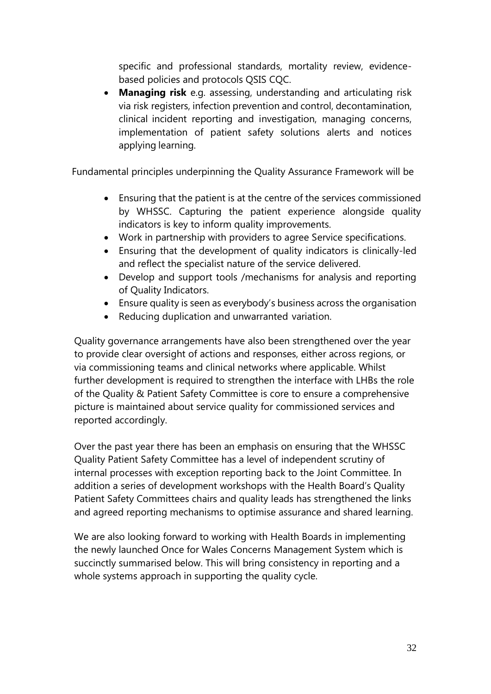specific and professional standards, mortality review, evidencebased policies and protocols QSIS CQC.

 **Managing risk** e.g. assessing, understanding and articulating risk via risk registers, infection prevention and control, decontamination, clinical incident reporting and investigation, managing concerns, implementation of patient safety solutions alerts and notices applying learning.

Fundamental principles underpinning the Quality Assurance Framework will be

- Ensuring that the patient is at the centre of the services commissioned by WHSSC. Capturing the patient experience alongside quality indicators is key to inform quality improvements.
- Work in partnership with providers to agree Service specifications.
- Ensuring that the development of quality indicators is clinically-led and reflect the specialist nature of the service delivered.
- Develop and support tools /mechanisms for analysis and reporting of Quality Indicators.
- Ensure quality is seen as everybody's business across the organisation
- Reducing duplication and unwarranted variation.

Quality governance arrangements have also been strengthened over the year to provide clear oversight of actions and responses, either across regions, or via commissioning teams and clinical networks where applicable. Whilst further development is required to strengthen the interface with LHBs the role of the Quality & Patient Safety Committee is core to ensure a comprehensive picture is maintained about service quality for commissioned services and reported accordingly.

Over the past year there has been an emphasis on ensuring that the WHSSC Quality Patient Safety Committee has a level of independent scrutiny of internal processes with exception reporting back to the Joint Committee. In addition a series of development workshops with the Health Board's Quality Patient Safety Committees chairs and quality leads has strengthened the links and agreed reporting mechanisms to optimise assurance and shared learning.

We are also looking forward to working with Health Boards in implementing the newly launched Once for Wales Concerns Management System which is succinctly summarised below. This will bring consistency in reporting and a whole systems approach in supporting the quality cycle.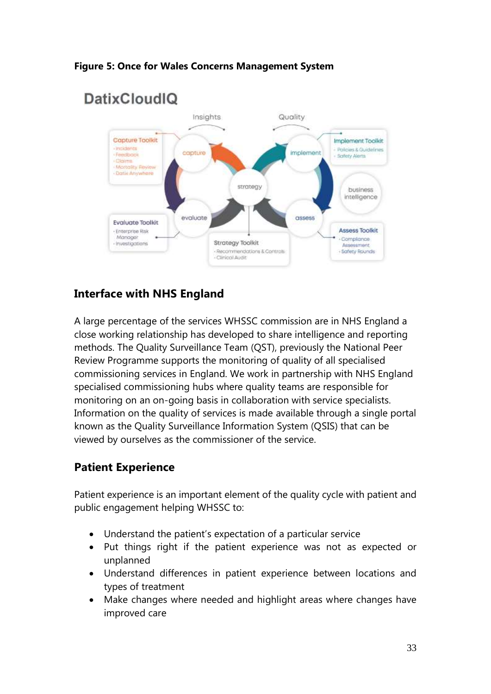



# <span id="page-32-0"></span>**Interface with NHS England**

A large percentage of the services WHSSC commission are in NHS England a close working relationship has developed to share intelligence and reporting methods. The Quality Surveillance Team (QST), previously the National Peer Review Programme supports the monitoring of quality of all specialised commissioning services in England. We work in partnership with NHS England specialised commissioning hubs where quality teams are responsible for monitoring on an on-going basis in collaboration with service specialists. Information on the quality of services is made available through a single portal known as the Quality Surveillance Information System (QSIS) that can be viewed by ourselves as the commissioner of the service.

# <span id="page-32-1"></span>**Patient Experience**

Patient experience is an important element of the quality cycle with patient and public engagement helping WHSSC to:

- Understand the patient's expectation of a particular service
- Put things right if the patient experience was not as expected or unplanned
- Understand differences in patient experience between locations and types of treatment
- Make changes where needed and highlight areas where changes have improved care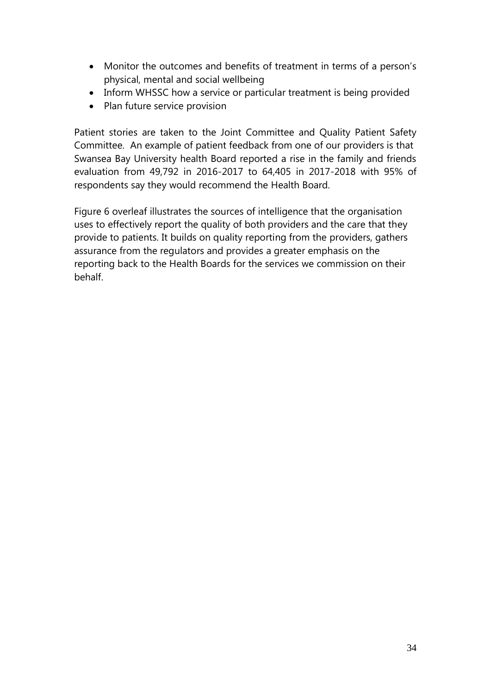- Monitor the outcomes and benefits of treatment in terms of a person's physical, mental and social wellbeing
- Inform WHSSC how a service or particular treatment is being provided
- Plan future service provision

Patient stories are taken to the Joint Committee and Quality Patient Safety Committee. An example of patient feedback from one of our providers is that Swansea Bay University health Board reported a rise in the family and friends evaluation from 49,792 in 2016-2017 to 64,405 in 2017-2018 with 95% of respondents say they would recommend the Health Board.

Figure 6 overleaf illustrates the sources of intelligence that the organisation uses to effectively report the quality of both providers and the care that they provide to patients. It builds on quality reporting from the providers, gathers assurance from the regulators and provides a greater emphasis on the reporting back to the Health Boards for the services we commission on their behalf.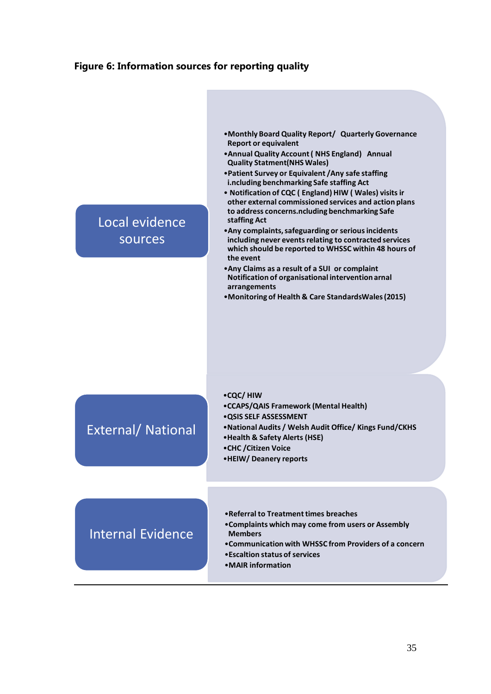#### **Figure 6: Information sources for reporting quality**

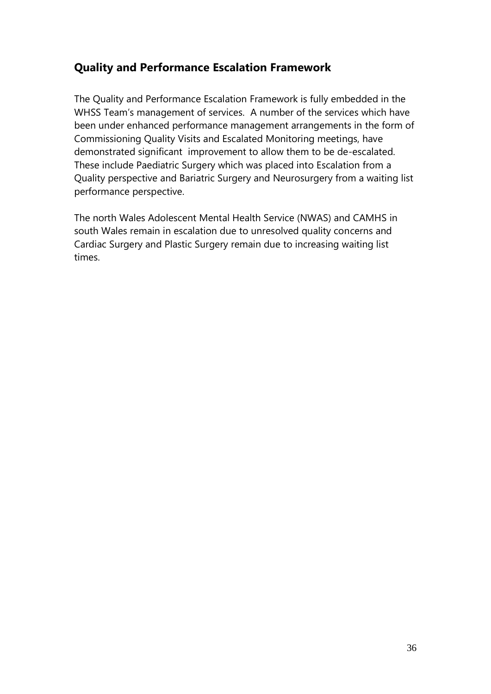# **Quality and Performance Escalation Framework**

The Quality and Performance Escalation Framework is fully embedded in the WHSS Team's management of services. A number of the services which have been under enhanced performance management arrangements in the form of Commissioning Quality Visits and Escalated Monitoring meetings, have demonstrated significant improvement to allow them to be de-escalated. These include Paediatric Surgery which was placed into Escalation from a Quality perspective and Bariatric Surgery and Neurosurgery from a waiting list performance perspective.

The north Wales Adolescent Mental Health Service (NWAS) and CAMHS in south Wales remain in escalation due to unresolved quality concerns and Cardiac Surgery and Plastic Surgery remain due to increasing waiting list times.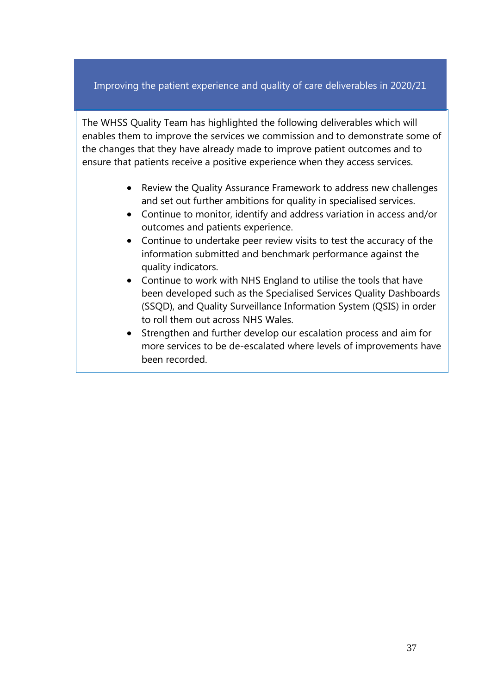### Improving the patient experience and quality of care deliverables in 2020/21

The WHSS Quality Team has highlighted the following deliverables which will enables them to improve the services we commission and to demonstrate some of the changes that they have already made to improve patient outcomes and to ensure that patients receive a positive experience when they access services.

- Review the Quality Assurance Framework to address new challenges and set out further ambitions for quality in specialised services.
- Continue to monitor, identify and address variation in access and/or outcomes and patients experience.
- Continue to undertake peer review visits to test the accuracy of the information submitted and benchmark performance against the quality indicators.
- Continue to work with NHS England to utilise the tools that have been developed such as the Specialised Services Quality Dashboards (SSQD), and Quality Surveillance Information System (QSIS) in order to roll them out across NHS Wales.
- Strengthen and further develop our escalation process and aim for more services to be de-escalated where levels of improvements have been recorded.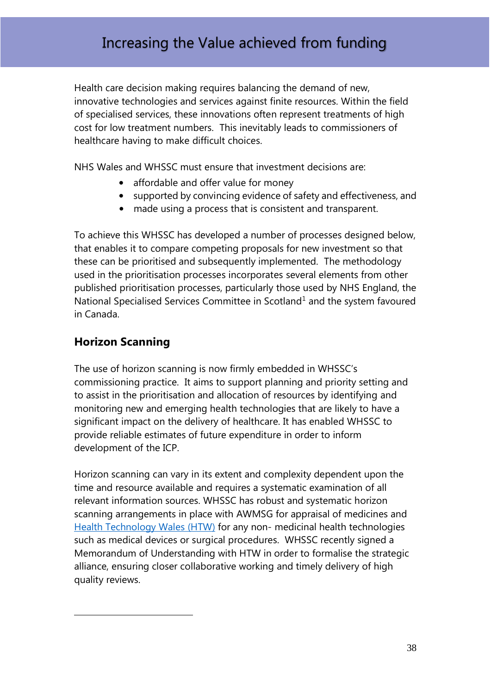# Increasing the Value achieved from funding

Health care decision making requires balancing the demand of new, innovative technologies and services against finite resources. Within the field of specialised services, these innovations often represent treatments of high cost for low treatment numbers. This inevitably leads to commissioners of healthcare having to make difficult choices.

NHS Wales and WHSSC must ensure that investment decisions are:

- affordable and offer value for money
- supported by convincing evidence of safety and effectiveness, and
- made using a process that is consistent and transparent.

To achieve this WHSSC has developed a number of processes designed below, that enables it to compare competing proposals for new investment so that these can be prioritised and subsequently implemented. The methodology used in the prioritisation processes incorporates several elements from other published prioritisation processes, particularly those used by NHS England, the National Specialised Services Committee in Scotland<sup>1</sup> and the system favoured in Canada.

# <span id="page-37-0"></span>**Horizon Scanning**

<u>.</u>

The use of horizon scanning is now firmly embedded in WHSSC's commissioning practice. It aims to support planning and priority setting and to assist in the prioritisation and allocation of resources by identifying and monitoring new and emerging health technologies that are likely to have a significant impact on the delivery of healthcare. It has enabled WHSSC to provide reliable estimates of future expenditure in order to inform development of the ICP.

Horizon scanning can vary in its extent and complexity dependent upon the time and resource available and requires a systematic examination of all relevant information sources. WHSSC has robust and systematic horizon scanning arrangements in place with AWMSG for appraisal of medicines and [Health Technology Wales](http://www.healthtechnology.wales/) (HTW) for any non- medicinal health technologies such as medical devices or surgical procedures. WHSSC recently signed a Memorandum of Understanding with HTW in order to formalise the strategic alliance, ensuring closer collaborative working and timely delivery of high quality reviews.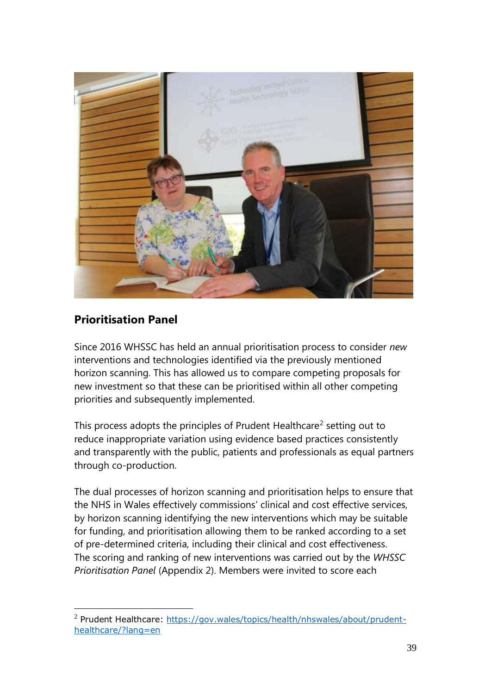

# <span id="page-38-0"></span>**Prioritisation Panel**

<u>.</u>

Since 2016 WHSSC has held an annual prioritisation process to consider *new* interventions and technologies identified via the previously mentioned horizon scanning. This has allowed us to compare competing proposals for new investment so that these can be prioritised within all other competing priorities and subsequently implemented.

This process adopts the principles of Prudent Healthcare<sup>2</sup> setting out to reduce inappropriate variation using evidence based practices consistently and transparently with the public, patients and professionals as equal partners through co-production.

The dual processes of horizon scanning and prioritisation helps to ensure that the NHS in Wales effectively commissions' clinical and cost effective services, by horizon scanning identifying the new interventions which may be suitable for funding, and prioritisation allowing them to be ranked according to a set of pre-determined criteria, including their clinical and cost effectiveness. The scoring and ranking of new interventions was carried out by the *WHSSC Prioritisation Panel* (Appendix 2). Members were invited to score each

<sup>&</sup>lt;sup>2</sup> Prudent Healthcare: [https://gov.wales/topics/health/nhswales/about/prudent](https://gov.wales/topics/health/nhswales/about/prudent-healthcare/?lang=en)[healthcare/?lang=en](https://gov.wales/topics/health/nhswales/about/prudent-healthcare/?lang=en)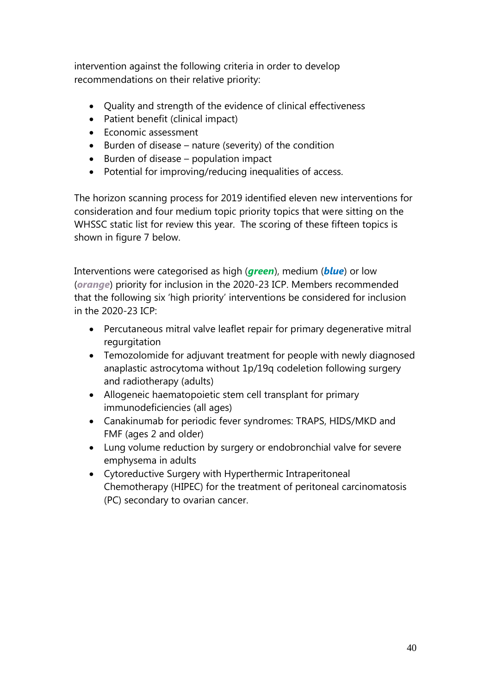intervention against the following criteria in order to develop recommendations on their relative priority:

- Ouality and strength of the evidence of clinical effectiveness
- Patient benefit (clinical impact)
- Economic assessment
- Burden of disease nature (severity) of the condition
- $\bullet$  Burden of disease population impact
- Potential for improving/reducing inequalities of access.

The horizon scanning process for 2019 identified eleven new interventions for consideration and four medium topic priority topics that were sitting on the WHSSC static list for review this year. The scoring of these fifteen topics is shown in figure 7 below.

Interventions were categorised as high (*green*), medium (*blue*) or low (*orange*) priority for inclusion in the 2020-23 ICP. Members recommended that the following six 'high priority' interventions be considered for inclusion in the 2020-23 ICP:

- Percutaneous mitral valve leaflet repair for primary degenerative mitral regurgitation
- Temozolomide for adjuvant treatment for people with newly diagnosed anaplastic astrocytoma without 1p/19q codeletion following surgery and radiotherapy (adults)
- Allogeneic haematopoietic stem cell transplant for primary immunodeficiencies (all ages)
- Canakinumab for periodic fever syndromes: TRAPS, HIDS/MKD and FMF (ages 2 and older)
- Lung volume reduction by surgery or endobronchial valve for severe emphysema in adults
- Cytoreductive Surgery with Hyperthermic Intraperitoneal Chemotherapy (HIPEC) for the treatment of peritoneal carcinomatosis (PC) secondary to ovarian cancer.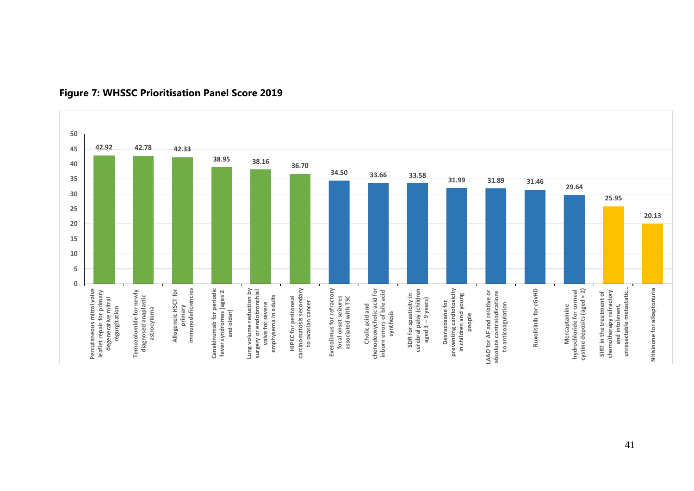

#### **Figure 7: WHSSC Prioritisation Panel Score 2019**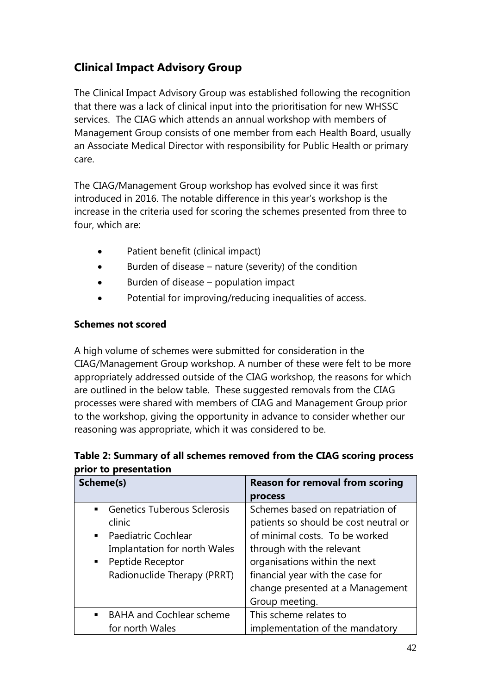# <span id="page-41-0"></span>**Clinical Impact Advisory Group**

The Clinical Impact Advisory Group was established following the recognition that there was a lack of clinical input into the prioritisation for new WHSSC services. The CIAG which attends an annual workshop with members of Management Group consists of one member from each Health Board, usually an Associate Medical Director with responsibility for Public Health or primary care.

The CIAG/Management Group workshop has evolved since it was first introduced in 2016. The notable difference in this year's workshop is the increase in the criteria used for scoring the schemes presented from three to four, which are:

- Patient benefit (clinical impact)
- $\bullet$  Burden of disease nature (severity) of the condition
- Burden of disease population impact
- Potential for improving/reducing inequalities of access.

#### **Schemes not scored**

A high volume of schemes were submitted for consideration in the CIAG/Management Group workshop. A number of these were felt to be more appropriately addressed outside of the CIAG workshop, the reasons for which are outlined in the below table. These suggested removals from the CIAG processes were shared with members of CIAG and Management Group prior to the workshop, giving the opportunity in advance to consider whether our reasoning was appropriate, which it was considered to be.

#### **Table 2: Summary of all schemes removed from the CIAG scoring process prior to presentation**

| Scheme(s)                                            | <b>Reason for removal from scoring</b> |  |  |
|------------------------------------------------------|----------------------------------------|--|--|
|                                                      | process                                |  |  |
| <b>Genetics Tuberous Sclerosis</b><br>$\blacksquare$ | Schemes based on repatriation of       |  |  |
| clinic                                               | patients so should be cost neutral or  |  |  |
| <b>Paediatric Cochlear</b><br>$\blacksquare$         | of minimal costs. To be worked         |  |  |
| Implantation for north Wales                         | through with the relevant              |  |  |
| Peptide Receptor<br>п.                               | organisations within the next          |  |  |
| Radionuclide Therapy (PRRT)                          | financial year with the case for       |  |  |
|                                                      | change presented at a Management       |  |  |
|                                                      | Group meeting.                         |  |  |
| <b>BAHA and Cochlear scheme</b><br>$\blacksquare$    | This scheme relates to                 |  |  |
| for north Wales                                      | implementation of the mandatory        |  |  |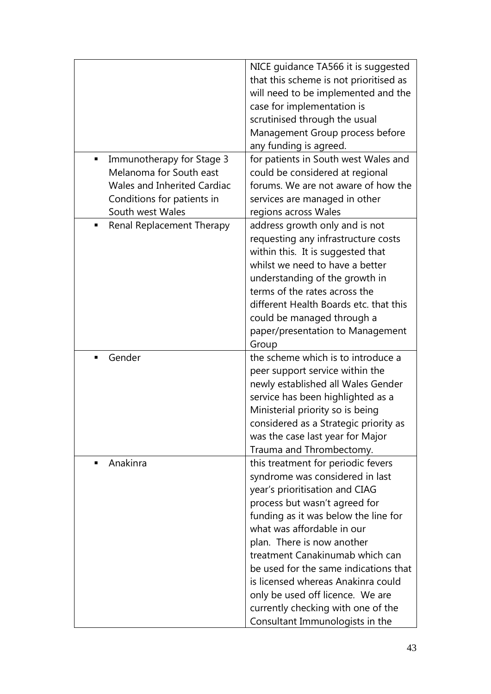| Immunotherapy for Stage 3<br>٠<br>Melanoma for South east<br><b>Wales and Inherited Cardiac</b><br>Conditions for patients in<br>South west Wales | NICE guidance TA566 it is suggested<br>that this scheme is not prioritised as<br>will need to be implemented and the<br>case for implementation is<br>scrutinised through the usual<br>Management Group process before<br>any funding is agreed.<br>for patients in South west Wales and<br>could be considered at regional<br>forums. We are not aware of how the<br>services are managed in other                                                                         |
|---------------------------------------------------------------------------------------------------------------------------------------------------|-----------------------------------------------------------------------------------------------------------------------------------------------------------------------------------------------------------------------------------------------------------------------------------------------------------------------------------------------------------------------------------------------------------------------------------------------------------------------------|
| Renal Replacement Therapy                                                                                                                         | regions across Wales<br>address growth only and is not<br>requesting any infrastructure costs<br>within this. It is suggested that<br>whilst we need to have a better<br>understanding of the growth in<br>terms of the rates across the<br>different Health Boards etc. that this<br>could be managed through a<br>paper/presentation to Management<br>Group                                                                                                               |
| Gender<br>٠                                                                                                                                       | the scheme which is to introduce a<br>peer support service within the<br>newly established all Wales Gender<br>service has been highlighted as a<br>Ministerial priority so is being<br>considered as a Strategic priority as<br>was the case last year for Major<br>Trauma and Thrombectomy.                                                                                                                                                                               |
| Anakinra<br>٠                                                                                                                                     | this treatment for periodic fevers<br>syndrome was considered in last<br>year's prioritisation and CIAG<br>process but wasn't agreed for<br>funding as it was below the line for<br>what was affordable in our<br>plan. There is now another<br>treatment Canakinumab which can<br>be used for the same indications that<br>is licensed whereas Anakinra could<br>only be used off licence. We are<br>currently checking with one of the<br>Consultant Immunologists in the |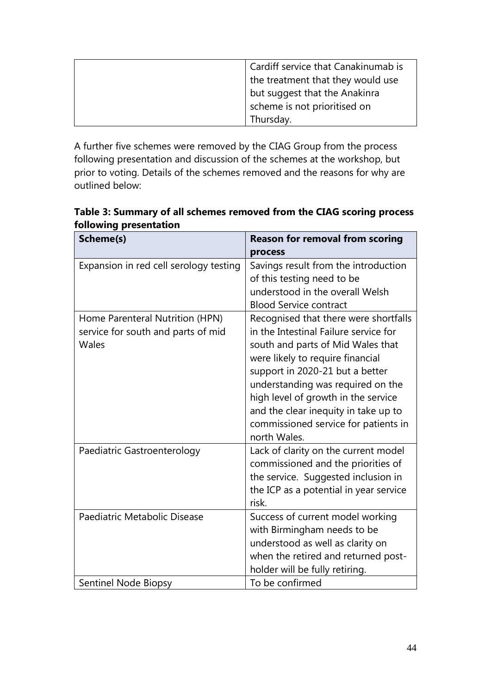| Cardiff service that Canakinumab is |
|-------------------------------------|
| the treatment that they would use   |
| but suggest that the Anakinra       |
| scheme is not prioritised on        |
| Thursday.                           |

A further five schemes were removed by the CIAG Group from the process following presentation and discussion of the schemes at the workshop, but prior to voting. Details of the schemes removed and the reasons for why are outlined below:

**Table 3: Summary of all schemes removed from the CIAG scoring process following presentation** 

| Scheme(s)                              | <b>Reason for removal from scoring</b> |
|----------------------------------------|----------------------------------------|
|                                        | process                                |
| Expansion in red cell serology testing | Savings result from the introduction   |
|                                        | of this testing need to be             |
|                                        | understood in the overall Welsh        |
|                                        | <b>Blood Service contract</b>          |
| Home Parenteral Nutrition (HPN)        | Recognised that there were shortfalls  |
| service for south and parts of mid     | in the Intestinal Failure service for  |
| Wales                                  | south and parts of Mid Wales that      |
|                                        | were likely to require financial       |
|                                        | support in 2020-21 but a better        |
|                                        | understanding was required on the      |
|                                        | high level of growth in the service    |
|                                        | and the clear inequity in take up to   |
|                                        | commissioned service for patients in   |
|                                        | north Wales.                           |
| Paediatric Gastroenterology            | Lack of clarity on the current model   |
|                                        | commissioned and the priorities of     |
|                                        | the service. Suggested inclusion in    |
|                                        | the ICP as a potential in year service |
|                                        | risk.                                  |
| Paediatric Metabolic Disease           | Success of current model working       |
|                                        | with Birmingham needs to be            |
|                                        | understood as well as clarity on       |
|                                        | when the retired and returned post-    |
|                                        | holder will be fully retiring.         |
| Sentinel Node Biopsy                   | To be confirmed                        |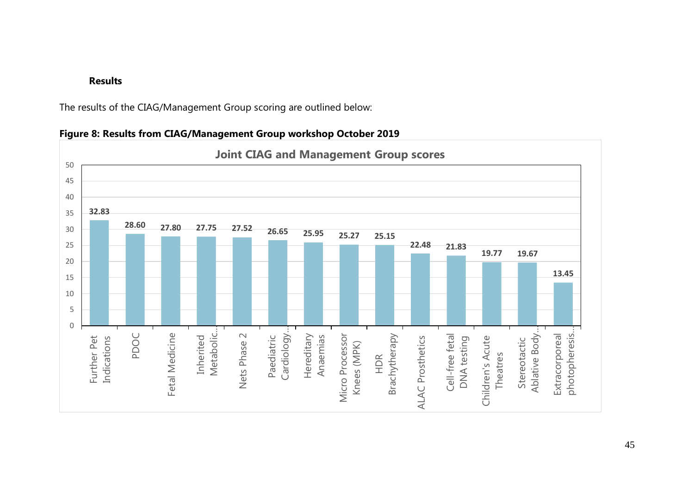#### **Results**

The results of the CIAG/Management Group scoring are outlined below:



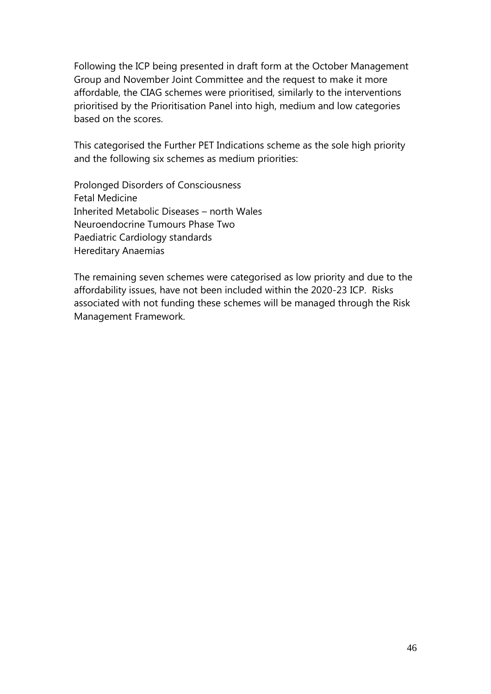<span id="page-45-0"></span>Following the ICP being presented in draft form at the October Management Group and November Joint Committee and the request to make it more affordable, the CIAG schemes were prioritised, similarly to the interventions prioritised by the Prioritisation Panel into high, medium and low categories based on the scores.

This categorised the Further PET Indications scheme as the sole high priority and the following six schemes as medium priorities:

Prolonged Disorders of Consciousness Fetal Medicine Inherited Metabolic Diseases – north Wales Neuroendocrine Tumours Phase Two Paediatric Cardiology standards Hereditary Anaemias

The remaining seven schemes were categorised as low priority and due to the affordability issues, have not been included within the 2020-23 ICP. Risks associated with not funding these schemes will be managed through the Risk Management Framework.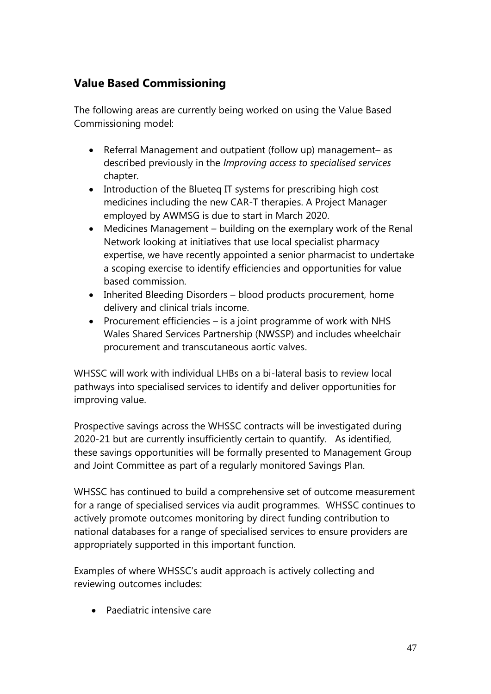# **Value Based Commissioning**

The following areas are currently being worked on using the Value Based Commissioning model:

- Referral Management and outpatient (follow up) management– as described previously in the *Improving access to specialised services* chapter.
- Introduction of the Blueteg IT systems for prescribing high cost medicines including the new CAR-T therapies. A Project Manager employed by AWMSG is due to start in March 2020.
- Medicines Management building on the exemplary work of the Renal Network looking at initiatives that use local specialist pharmacy expertise, we have recently appointed a senior pharmacist to undertake a scoping exercise to identify efficiencies and opportunities for value based commission.
- Inherited Bleeding Disorders blood products procurement, home delivery and clinical trials income.
- Procurement efficiencies is a joint programme of work with NHS Wales Shared Services Partnership (NWSSP) and includes wheelchair procurement and transcutaneous aortic valves.

WHSSC will work with individual LHBs on a bi-lateral basis to review local pathways into specialised services to identify and deliver opportunities for improving value.

Prospective savings across the WHSSC contracts will be investigated during 2020-21 but are currently insufficiently certain to quantify. As identified, these savings opportunities will be formally presented to Management Group and Joint Committee as part of a regularly monitored Savings Plan.

WHSSC has continued to build a comprehensive set of outcome measurement for a range of specialised services via audit programmes. WHSSC continues to actively promote outcomes monitoring by direct funding contribution to national databases for a range of specialised services to ensure providers are appropriately supported in this important function.

Examples of where WHSSC's audit approach is actively collecting and reviewing outcomes includes:

Paediatric intensive care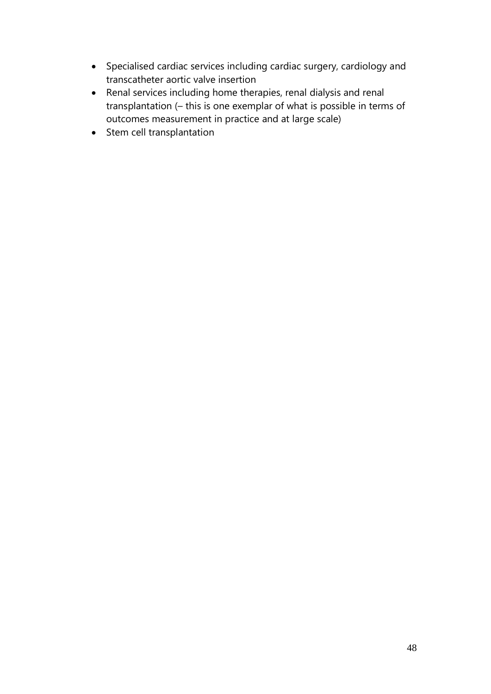- Specialised cardiac services including cardiac surgery, cardiology and transcatheter aortic valve insertion
- Renal services including home therapies, renal dialysis and renal transplantation (– this is one exemplar of what is possible in terms of outcomes measurement in practice and at large scale)
- Stem cell transplantation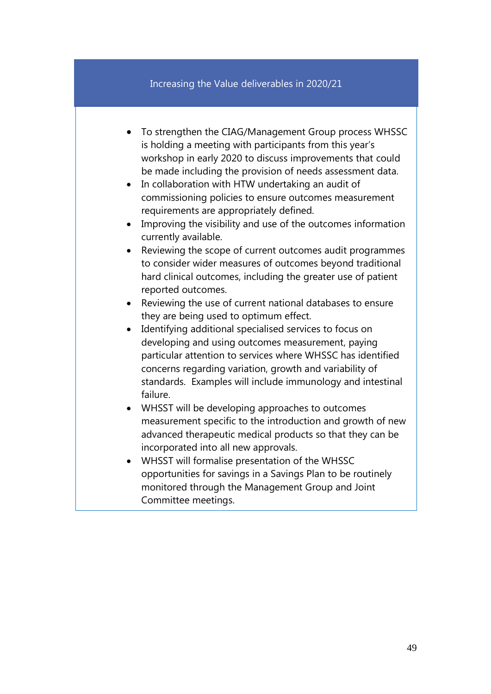#### Increasing the Value deliverables in 2020/21

- To strengthen the CIAG/Management Group process WHSSC is holding a meeting with participants from this year's workshop in early 2020 to discuss improvements that could be made including the provision of needs assessment data.
- In collaboration with HTW undertaking an audit of commissioning policies to ensure outcomes measurement requirements are appropriately defined.
- Improving the visibility and use of the outcomes information currently available.
- Reviewing the scope of current outcomes audit programmes to consider wider measures of outcomes beyond traditional hard clinical outcomes, including the greater use of patient reported outcomes.
- Reviewing the use of current national databases to ensure they are being used to optimum effect.
- Identifying additional specialised services to focus on developing and using outcomes measurement, paying particular attention to services where WHSSC has identified concerns regarding variation, growth and variability of standards. Examples will include immunology and intestinal failure.
- WHSST will be developing approaches to outcomes measurement specific to the introduction and growth of new advanced therapeutic medical products so that they can be incorporated into all new approvals.
- WHSST will formalise presentation of the WHSSC opportunities for savings in a Savings Plan to be routinely monitored through the Management Group and Joint Committee meetings.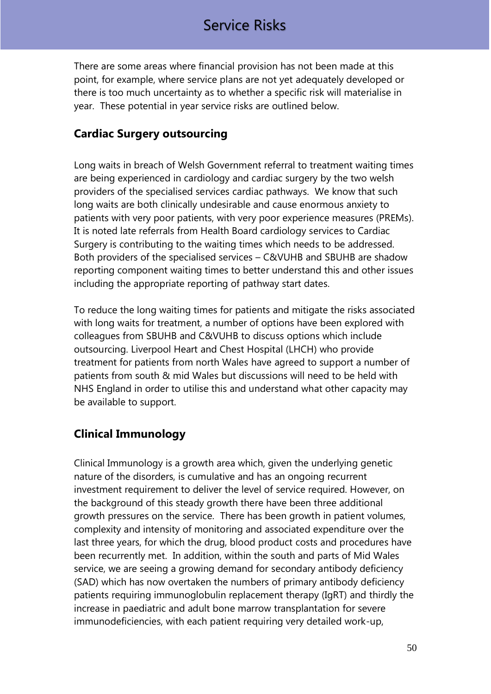# Service Risks

There are some areas where financial provision has not been made at this point, for example, where service plans are not yet adequately developed or there is too much uncertainty as to whether a specific risk will materialise in year. These potential in year service risks are outlined below.

### <span id="page-49-0"></span>**Cardiac Surgery outsourcing**

Long waits in breach of Welsh Government referral to treatment waiting times are being experienced in cardiology and cardiac surgery by the two welsh providers of the specialised services cardiac pathways. We know that such long waits are both clinically undesirable and cause enormous anxiety to patients with very poor patients, with very poor experience measures (PREMs). It is noted late referrals from Health Board cardiology services to Cardiac Surgery is contributing to the waiting times which needs to be addressed. Both providers of the specialised services – C&VUHB and SBUHB are shadow reporting component waiting times to better understand this and other issues including the appropriate reporting of pathway start dates.

To reduce the long waiting times for patients and mitigate the risks associated with long waits for treatment, a number of options have been explored with colleagues from SBUHB and C&VUHB to discuss options which include outsourcing. Liverpool Heart and Chest Hospital (LHCH) who provide treatment for patients from north Wales have agreed to support a number of patients from south & mid Wales but discussions will need to be held with NHS England in order to utilise this and understand what other capacity may be available to support.

# <span id="page-49-1"></span>**Clinical Immunology**

Clinical Immunology is a growth area which, given the underlying genetic nature of the disorders, is cumulative and has an ongoing recurrent investment requirement to deliver the level of service required. However, on the background of this steady growth there have been three additional growth pressures on the service. There has been growth in patient volumes, complexity and intensity of monitoring and associated expenditure over the last three years, for which the drug, blood product costs and procedures have been recurrently met. In addition, within the south and parts of Mid Wales service, we are seeing a growing demand for secondary antibody deficiency (SAD) which has now overtaken the numbers of primary antibody deficiency patients requiring immunoglobulin replacement therapy (IgRT) and thirdly the increase in paediatric and adult bone marrow transplantation for severe immunodeficiencies, with each patient requiring very detailed work-up,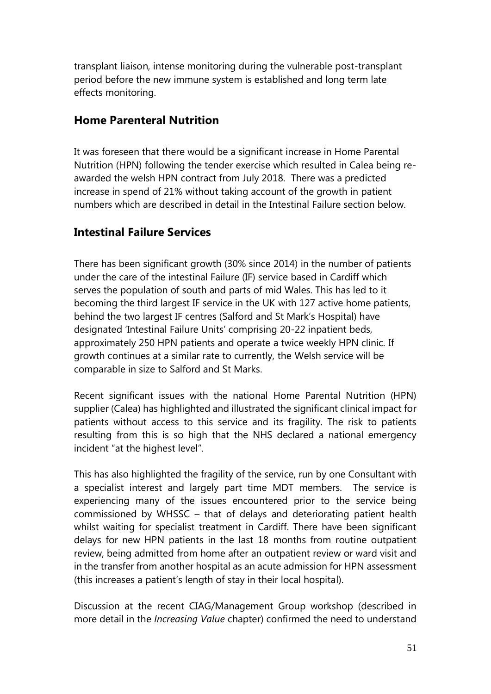transplant liaison, intense monitoring during the vulnerable post-transplant period before the new immune system is established and long term late effects monitoring.

### <span id="page-50-0"></span>**Home Parenteral Nutrition**

It was foreseen that there would be a significant increase in Home Parental Nutrition (HPN) following the tender exercise which resulted in Calea being reawarded the welsh HPN contract from July 2018. There was a predicted increase in spend of 21% without taking account of the growth in patient numbers which are described in detail in the Intestinal Failure section below.

# <span id="page-50-1"></span>**Intestinal Failure Services**

There has been significant growth (30% since 2014) in the number of patients under the care of the intestinal Failure (IF) service based in Cardiff which serves the population of south and parts of mid Wales. This has led to it becoming the third largest IF service in the UK with 127 active home patients, behind the two largest IF centres (Salford and St Mark's Hospital) have designated 'Intestinal Failure Units' comprising 20-22 inpatient beds, approximately 250 HPN patients and operate a twice weekly HPN clinic. If growth continues at a similar rate to currently, the Welsh service will be comparable in size to Salford and St Marks.

Recent significant issues with the national Home Parental Nutrition (HPN) supplier (Calea) has highlighted and illustrated the significant clinical impact for patients without access to this service and its fragility. The risk to patients resulting from this is so high that the NHS declared a national emergency incident "at the highest level".

This has also highlighted the fragility of the service, run by one Consultant with a specialist interest and largely part time MDT members. The service is experiencing many of the issues encountered prior to the service being commissioned by WHSSC – that of delays and deteriorating patient health whilst waiting for specialist treatment in Cardiff. There have been significant delays for new HPN patients in the last 18 months from routine outpatient review, being admitted from home after an outpatient review or ward visit and in the transfer from another hospital as an acute admission for HPN assessment (this increases a patient's length of stay in their local hospital).

Discussion at the recent CIAG/Management Group workshop (described in more detail in the *Increasing Value* chapter) confirmed the need to understand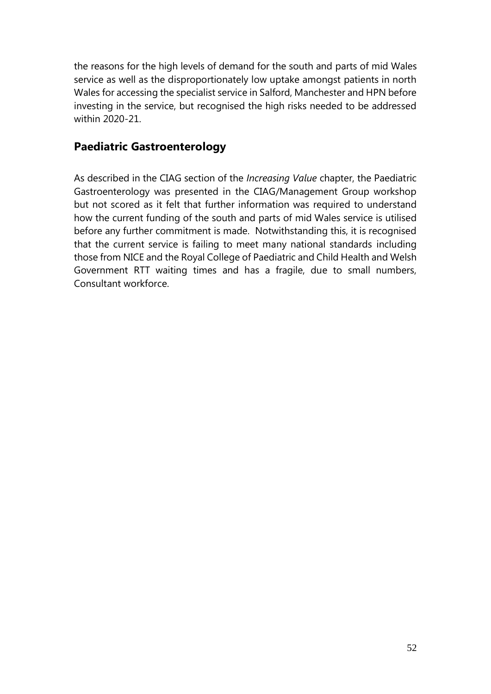the reasons for the high levels of demand for the south and parts of mid Wales service as well as the disproportionately low uptake amongst patients in north Wales for accessing the specialist service in Salford, Manchester and HPN before investing in the service, but recognised the high risks needed to be addressed within 2020-21.

# <span id="page-51-0"></span>**Paediatric Gastroenterology**

As described in the CIAG section of the *Increasing Value* chapter, the Paediatric Gastroenterology was presented in the CIAG/Management Group workshop but not scored as it felt that further information was required to understand how the current funding of the south and parts of mid Wales service is utilised before any further commitment is made. Notwithstanding this, it is recognised that the current service is failing to meet many national standards including those from NICE and the Royal College of Paediatric and Child Health and Welsh Government RTT waiting times and has a fragile, due to small numbers, Consultant workforce.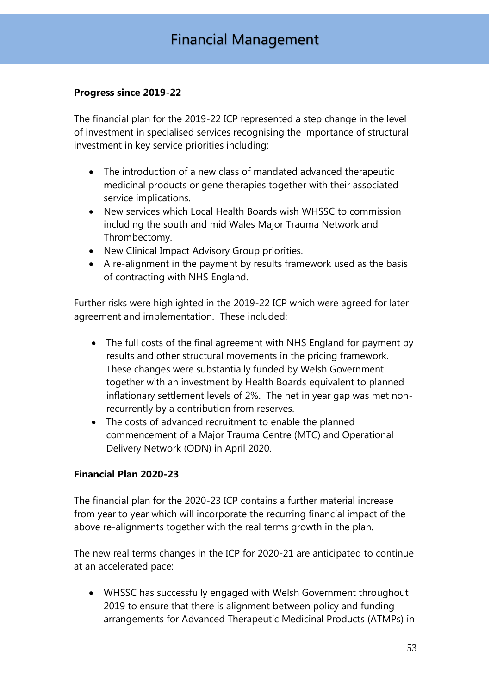#### <span id="page-52-0"></span>**Progress since 2019-22**

The financial plan for the 2019-22 ICP represented a step change in the level of investment in specialised services recognising the importance of structural investment in key service priorities including:

- The introduction of a new class of mandated advanced therapeutic medicinal products or gene therapies together with their associated service implications.
- New services which Local Health Boards wish WHSSC to commission including the south and mid Wales Major Trauma Network and Thrombectomy.
- New Clinical Impact Advisory Group priorities.
- A re-alignment in the payment by results framework used as the basis of contracting with NHS England.

Further risks were highlighted in the 2019-22 ICP which were agreed for later agreement and implementation. These included:

- The full costs of the final agreement with NHS England for payment by results and other structural movements in the pricing framework. These changes were substantially funded by Welsh Government together with an investment by Health Boards equivalent to planned inflationary settlement levels of 2%. The net in year gap was met nonrecurrently by a contribution from reserves.
- The costs of advanced recruitment to enable the planned commencement of a Major Trauma Centre (MTC) and Operational Delivery Network (ODN) in April 2020.

#### <span id="page-52-1"></span>**Financial Plan 2020-23**

The financial plan for the 2020-23 ICP contains a further material increase from year to year which will incorporate the recurring financial impact of the above re-alignments together with the real terms growth in the plan.

The new real terms changes in the ICP for 2020-21 are anticipated to continue at an accelerated pace:

 WHSSC has successfully engaged with Welsh Government throughout 2019 to ensure that there is alignment between policy and funding arrangements for Advanced Therapeutic Medicinal Products (ATMPs) in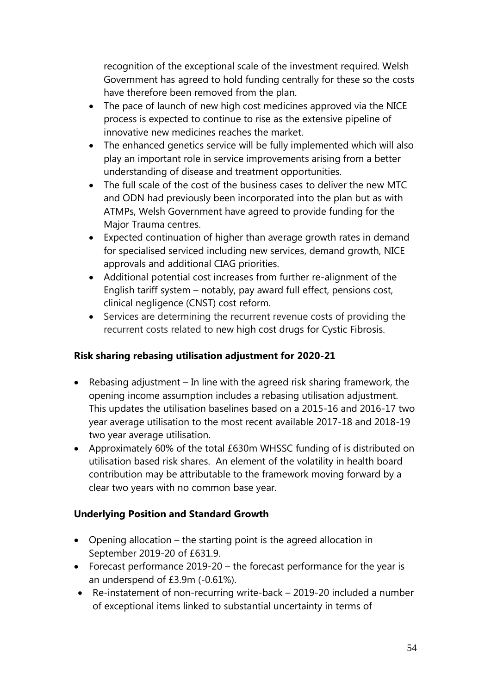recognition of the exceptional scale of the investment required. Welsh Government has agreed to hold funding centrally for these so the costs have therefore been removed from the plan.

- The pace of launch of new high cost medicines approved via the NICE process is expected to continue to rise as the extensive pipeline of innovative new medicines reaches the market.
- The enhanced genetics service will be fully implemented which will also play an important role in service improvements arising from a better understanding of disease and treatment opportunities.
- The full scale of the cost of the business cases to deliver the new MTC and ODN had previously been incorporated into the plan but as with ATMPs, Welsh Government have agreed to provide funding for the Major Trauma centres.
- Expected continuation of higher than average growth rates in demand for specialised serviced including new services, demand growth, NICE approvals and additional CIAG priorities.
- Additional potential cost increases from further re-alignment of the English tariff system – notably, pay award full effect, pensions cost, clinical negligence (CNST) cost reform.
- Services are determining the recurrent revenue costs of providing the recurrent costs related to new high cost drugs for Cystic Fibrosis.

#### <span id="page-53-0"></span>**Risk sharing rebasing utilisation adjustment for 2020-21**

- Rebasing adjustment In line with the agreed risk sharing framework, the opening income assumption includes a rebasing utilisation adjustment. This updates the utilisation baselines based on a 2015-16 and 2016-17 two year average utilisation to the most recent available 2017-18 and 2018-19 two year average utilisation.
- Approximately 60% of the total £630m WHSSC funding of is distributed on utilisation based risk shares. An element of the volatility in health board contribution may be attributable to the framework moving forward by a clear two years with no common base year.

# <span id="page-53-1"></span>**Underlying Position and Standard Growth**

- Opening allocation the starting point is the agreed allocation in September 2019-20 of £631.9.
- Forecast performance 2019-20 the forecast performance for the year is an underspend of £3.9m (-0.61%).
- Re-instatement of non-recurring write-back 2019-20 included a number of exceptional items linked to substantial uncertainty in terms of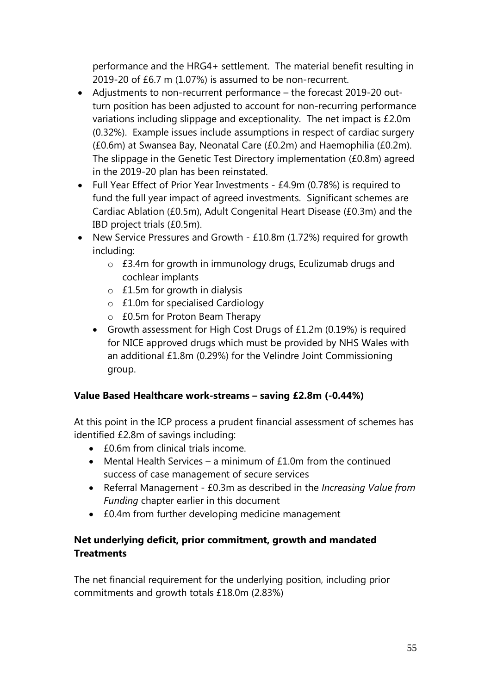performance and the HRG4+ settlement. The material benefit resulting in 2019-20 of £6.7 m (1.07%) is assumed to be non-recurrent.

- Adjustments to non-recurrent performance the forecast 2019-20 outturn position has been adjusted to account for non-recurring performance variations including slippage and exceptionality. The net impact is £2.0m (0.32%). Example issues include assumptions in respect of cardiac surgery (£0.6m) at Swansea Bay, Neonatal Care (£0.2m) and Haemophilia (£0.2m). The slippage in the Genetic Test Directory implementation (£0.8m) agreed in the 2019-20 plan has been reinstated.
- Full Year Effect of Prior Year Investments £4.9m (0.78%) is required to fund the full year impact of agreed investments. Significant schemes are Cardiac Ablation (£0.5m), Adult Congenital Heart Disease (£0.3m) and the IBD project trials (£0.5m).
- New Service Pressures and Growth £10.8m (1.72%) required for growth including:
	- o £3.4m for growth in immunology drugs, Eculizumab drugs and cochlear implants
	- $\circ$  £1.5m for growth in dialysis
	- o £1.0m for specialised Cardiology
	- o £0.5m for Proton Beam Therapy
	- Growth assessment for High Cost Drugs of £1.2m (0.19%) is required for NICE approved drugs which must be provided by NHS Wales with an additional £1.8m (0.29%) for the Velindre Joint Commissioning group.

#### <span id="page-54-0"></span>**Value Based Healthcare work-streams – saving £2.8m (-0.44%)**

At this point in the ICP process a prudent financial assessment of schemes has identified £2.8m of savings including:

- £0.6m from clinical trials income.
- Mental Health Services a minimum of  $£1.0m$  from the continued success of case management of secure services
- Referral Management £0.3m as described in the *Increasing Value from Funding* chapter earlier in this document
- £0.4m from further developing medicine management

#### <span id="page-54-1"></span>**Net underlying deficit, prior commitment, growth and mandated Treatments**

The net financial requirement for the underlying position, including prior commitments and growth totals £18.0m (2.83%)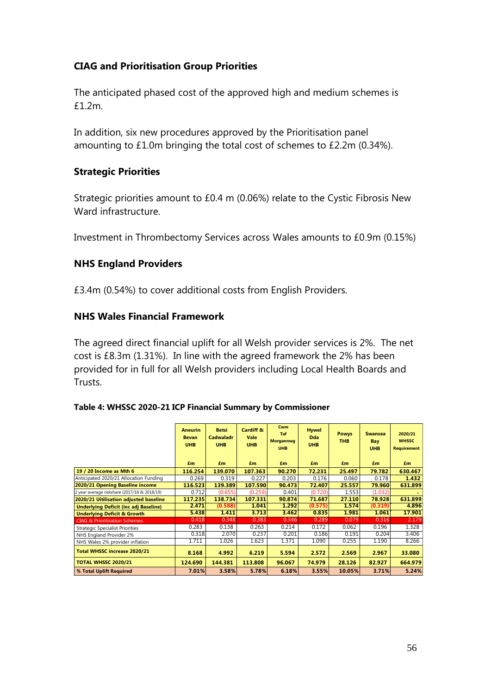#### <span id="page-55-0"></span>**CIAG and Prioritisation Group Priorities**

The anticipated phased cost of the approved high and medium schemes is £1.2m.

In addition, six new procedures approved by the Prioritisation panel amounting to £1.0m bringing the total cost of schemes to £2.2m (0.34%).

#### <span id="page-55-1"></span>**Strategic Priorities**

Strategic priorities amount to £0.4 m (0.06%) relate to the Cystic Fibrosis New Ward infrastructure.

Investment in Thrombectomy Services across Wales amounts to £0.9m (0.15%)

#### <span id="page-55-2"></span>**NHS England Providers**

£3.4m (0.54%) to cover additional costs from English Providers.

#### <span id="page-55-3"></span>**NHS Wales Financial Framework**

The agreed direct financial uplift for all Welsh provider services is 2%. The net cost is £8.3m (1.31%). In line with the agreed framework the 2% has been provided for in full for all Welsh providers including Local Health Boards and **Trusts** 

| Table 4: WHSSC 2020-21 ICP Financial Summary by Commissioner |  |  |
|--------------------------------------------------------------|--|--|
|--------------------------------------------------------------|--|--|

|                                              | <b>Aneurin</b><br><b>Bevan</b><br><b>UHB</b> | <b>Betsi</b><br><b>Cadwaladr</b><br><b>UHB</b> | Cardiff &<br><b>Vale</b><br><b>UHB</b> | Cwm<br><b>Taf</b><br><b>Morgannwg</b><br><b>UHB</b> | <b>Hywel</b><br><b>Dda</b><br><b>UHB</b> | <b>Powys</b><br><b>THB</b> | <b>Swansea</b><br>Bay<br><b>UHB</b> | 2020/21<br><b>WHSSC</b><br><b>Requirement</b> |
|----------------------------------------------|----------------------------------------------|------------------------------------------------|----------------------------------------|-----------------------------------------------------|------------------------------------------|----------------------------|-------------------------------------|-----------------------------------------------|
|                                              | £m                                           | £m                                             | £m                                     | £m                                                  | £m                                       | £m                         | £m                                  | £m                                            |
| 19 / 20 Income as Mth 6                      | 116.254                                      | 139.070                                        | 107.363                                | 90.270                                              | 72.231                                   | 25.497                     | 79.782                              | 630.467                                       |
| Anticipated 2020/21 Allocation Funding       | 0.269                                        | 0.319                                          | 0.227                                  | 0.203                                               | 0.176                                    | 0.060                      | 0.178                               | 1.432                                         |
| 2020/21 Opening Baseline income              | 116.523                                      | 139.389                                        | 107.590                                | 90.473                                              | 72.407                                   | 25.557                     | 79.960                              | 631.899                                       |
| 2 year average riskshare (2017/18 & 2018/19) | 0.712                                        | (0.655)                                        | (0.259)                                | 0.401                                               | (0.720)                                  | 1.553                      | (1.032)                             |                                               |
| 2020/21 Uitilisation adjusted baseline       | 117.235                                      | 138.734                                        | 107.331                                | 90.874                                              | 71.687                                   | 27.110                     | 78.928                              | 631.899                                       |
| <b>Underlying Deficit (inc adj Baseline)</b> | 2.471                                        | (0.588)                                        | 1.041                                  | 1.292                                               | (0.575)                                  | 1.574                      | (0.319)                             | 4.896                                         |
| <b>Underlying Deficit &amp; Growth</b>       | 5.438                                        | 1.411                                          | 3.713                                  | 3.462                                               | 0.835                                    | 1.981                      | 1.061                               | 17.901                                        |
| <b>CIAG &amp; Prioritisation Schemes</b>     | 0.418                                        | 0.348                                          | 0.383                                  | 0.346                                               | 0.289                                    | 0.079                      | 0.316                               | 2.179                                         |
| <b>Strategic Specialist Priorities</b>       | 0.283                                        | 0.138                                          | 0.263                                  | 0.214                                               | 0.172                                    | 0.062                      | 0.196                               | 1.328                                         |
| NHS England Provider 2%                      | 0.318                                        | 2.070                                          | 0.237                                  | 0.201                                               | 0.186                                    | 0.191                      | 0.204                               | 3.406                                         |
| NHS Wales 2% provider inflation              | 1.711                                        | 1.026                                          | 1.623                                  | 1.371                                               | 1.090                                    | 0.255                      | 1.190                               | 8.266                                         |
| <b>Total WHSSC increase 2020/21</b>          | 8.168                                        | 4.992                                          | 6.219                                  | 5.594                                               | 2.572                                    | 2.569                      | 2.967                               | 33.080                                        |
| <b>TOTAL WHSSC 2020/21</b>                   | 124.690                                      | 144.381                                        | 113.808                                | 96.067                                              | 74.979                                   | 28.126                     | 82.927                              | 664.979                                       |
| % Total Uplift Required                      | 7.01%                                        | 3.58%                                          | 5.78%                                  | 6.18%                                               | 3.55%                                    | 10.05%                     | 3.71%                               | 5.24%                                         |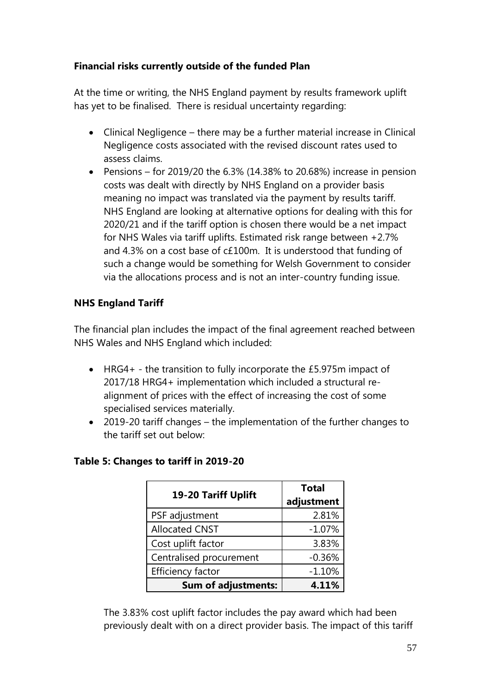#### <span id="page-56-0"></span>**Financial risks currently outside of the funded Plan**

At the time or writing, the NHS England payment by results framework uplift has yet to be finalised. There is residual uncertainty regarding:

- Clinical Negligence there may be a further material increase in Clinical Negligence costs associated with the revised discount rates used to assess claims.
- Pensions for 2019/20 the 6.3% (14.38% to 20.68%) increase in pension costs was dealt with directly by NHS England on a provider basis meaning no impact was translated via the payment by results tariff. NHS England are looking at alternative options for dealing with this for 2020/21 and if the tariff option is chosen there would be a net impact for NHS Wales via tariff uplifts. Estimated risk range between +2.7% and 4.3% on a cost base of c£100m. It is understood that funding of such a change would be something for Welsh Government to consider via the allocations process and is not an inter-country funding issue.

#### <span id="page-56-1"></span>**NHS England Tariff**

The financial plan includes the impact of the final agreement reached between NHS Wales and NHS England which included:

- HRG4+ the transition to fully incorporate the £5.975m impact of 2017/18 HRG4+ implementation which included a structural realignment of prices with the effect of increasing the cost of some specialised services materially.
- 2019-20 tariff changes the implementation of the further changes to the tariff set out below:

| 19-20 Tariff Uplift        | <b>Total</b> |  |  |
|----------------------------|--------------|--|--|
|                            | adjustment   |  |  |
| PSF adjustment             | 2.81%        |  |  |
| <b>Allocated CNST</b>      | $-1.07%$     |  |  |
| Cost uplift factor         | 3.83%        |  |  |
| Centralised procurement    | $-0.36%$     |  |  |
| <b>Efficiency factor</b>   | $-1.10%$     |  |  |
| <b>Sum of adjustments:</b> | 4.11%        |  |  |

#### **Table 5: Changes to tariff in 2019-20**

The 3.83% cost uplift factor includes the pay award which had been previously dealt with on a direct provider basis. The impact of this tariff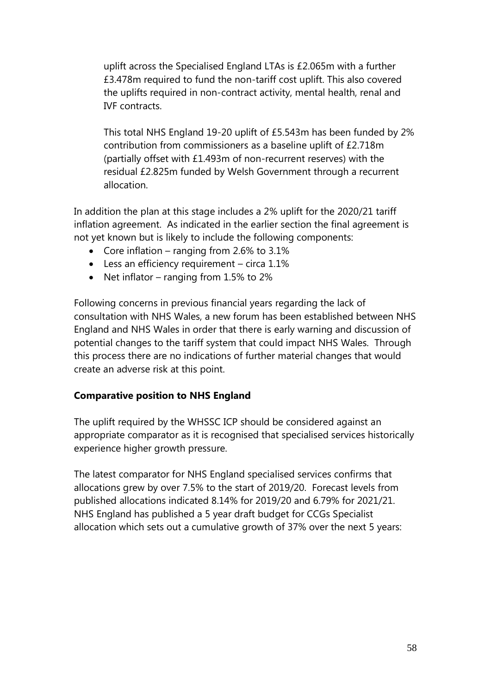uplift across the Specialised England LTAs is £2.065m with a further £3.478m required to fund the non-tariff cost uplift. This also covered the uplifts required in non-contract activity, mental health, renal and IVF contracts.

This total NHS England 19-20 uplift of £5.543m has been funded by 2% contribution from commissioners as a baseline uplift of £2.718m (partially offset with £1.493m of non-recurrent reserves) with the residual £2.825m funded by Welsh Government through a recurrent allocation.

In addition the plan at this stage includes a 2% uplift for the 2020/21 tariff inflation agreement. As indicated in the earlier section the final agreement is not yet known but is likely to include the following components:

- Core inflation ranging from 2.6% to 3.1%
- Less an efficiency requirement circa 1.1%
- Net inflator ranging from  $1.5\%$  to  $2\%$

Following concerns in previous financial years regarding the lack of consultation with NHS Wales, a new forum has been established between NHS England and NHS Wales in order that there is early warning and discussion of potential changes to the tariff system that could impact NHS Wales. Through this process there are no indications of further material changes that would create an adverse risk at this point.

#### **Comparative position to NHS England**

The uplift required by the WHSSC ICP should be considered against an appropriate comparator as it is recognised that specialised services historically experience higher growth pressure.

The latest comparator for NHS England specialised services confirms that allocations grew by over 7.5% to the start of 2019/20. Forecast levels from published allocations indicated 8.14% for 2019/20 and 6.79% for 2021/21. NHS England has published a 5 year draft budget for CCGs Specialist allocation which sets out a cumulative growth of 37% over the next 5 years: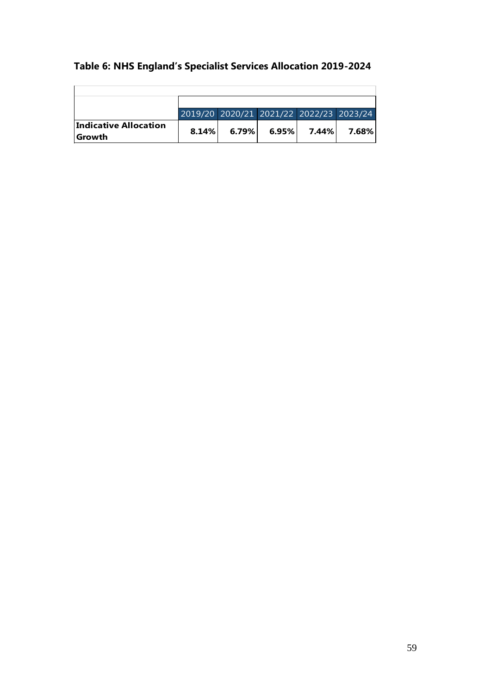# **Table 6: NHS England's Specialist Services Allocation 2019-2024**

|                                  | 2019/20 2020/21 2021/22 2022/23 2023/24 |       |                |       |
|----------------------------------|-----------------------------------------|-------|----------------|-------|
| Indicative Allocation<br> Growth | 8.14%                                   | 6.79% | $6.95\%$ 7.44% | 7.68% |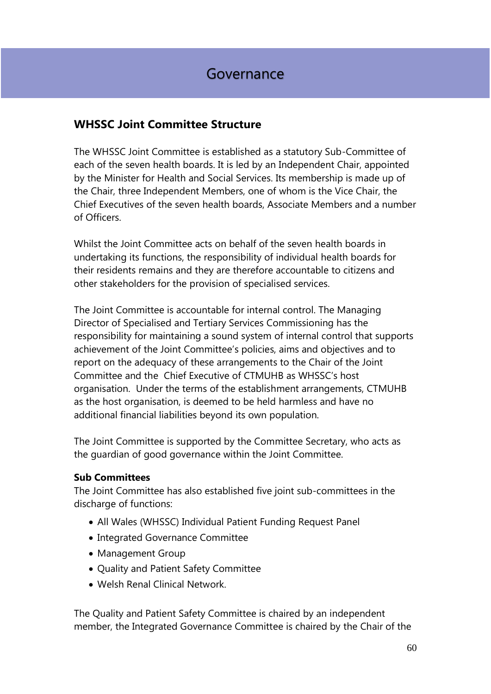# <span id="page-59-0"></span>**WHSSC Joint Committee Structure**

The WHSSC Joint Committee is established as a statutory Sub-Committee of each of the seven health boards. It is led by an Independent Chair, appointed by the Minister for Health and Social Services. Its membership is made up of the Chair, three Independent Members, one of whom is the Vice Chair, the Chief Executives of the seven health boards, Associate Members and a number of Officers.

Whilst the Joint Committee acts on behalf of the seven health boards in undertaking its functions, the responsibility of individual health boards for their residents remains and they are therefore accountable to citizens and other stakeholders for the provision of specialised services.

The Joint Committee is accountable for internal control. The Managing Director of Specialised and Tertiary Services Commissioning has the responsibility for maintaining a sound system of internal control that supports achievement of the Joint Committee's policies, aims and objectives and to report on the adequacy of these arrangements to the Chair of the Joint Committee and the Chief Executive of CTMUHB as WHSSC's host organisation. Under the terms of the establishment arrangements, CTMUHB as the host organisation, is deemed to be held harmless and have no additional financial liabilities beyond its own population.

The Joint Committee is supported by the Committee Secretary, who acts as the guardian of good governance within the Joint Committee.

#### **Sub Committees**

The Joint Committee has also established five joint sub-committees in the discharge of functions:

- All Wales (WHSSC) Individual Patient Funding Request Panel
- Integrated Governance Committee
- Management Group
- Quality and Patient Safety Committee
- Welsh Renal Clinical Network.

The Quality and Patient Safety Committee is chaired by an independent member, the Integrated Governance Committee is chaired by the Chair of the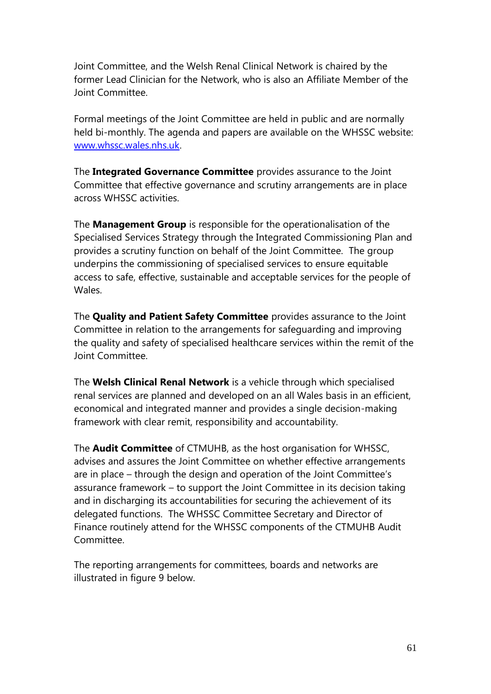Joint Committee, and the Welsh Renal Clinical Network is chaired by the former Lead Clinician for the Network, who is also an Affiliate Member of the Joint Committee.

Formal meetings of the Joint Committee are held in public and are normally held bi-monthly. The agenda and papers are available on the WHSSC website: [www.whssc.wales.nhs.uk.](http://www.whssc.wales.nhs.uk/)

The **Integrated Governance Committee** provides assurance to the Joint Committee that effective governance and scrutiny arrangements are in place across WHSSC activities.

The **Management Group** is responsible for the operationalisation of the Specialised Services Strategy through the Integrated Commissioning Plan and provides a scrutiny function on behalf of the Joint Committee. The group underpins the commissioning of specialised services to ensure equitable access to safe, effective, sustainable and acceptable services for the people of Wales.

The **Quality and Patient Safety Committee** provides assurance to the Joint Committee in relation to the arrangements for safeguarding and improving the quality and safety of specialised healthcare services within the remit of the Joint Committee.

The **Welsh Clinical Renal Network** is a vehicle through which specialised renal services are planned and developed on an all Wales basis in an efficient, economical and integrated manner and provides a single decision-making framework with clear remit, responsibility and accountability.

The **Audit Committee** of CTMUHB, as the host organisation for WHSSC, advises and assures the Joint Committee on whether effective arrangements are in place – through the design and operation of the Joint Committee's assurance framework – to support the Joint Committee in its decision taking and in discharging its accountabilities for securing the achievement of its delegated functions. The WHSSC Committee Secretary and Director of Finance routinely attend for the WHSSC components of the CTMUHB Audit Committee.

The reporting arrangements for committees, boards and networks are illustrated in figure 9 below.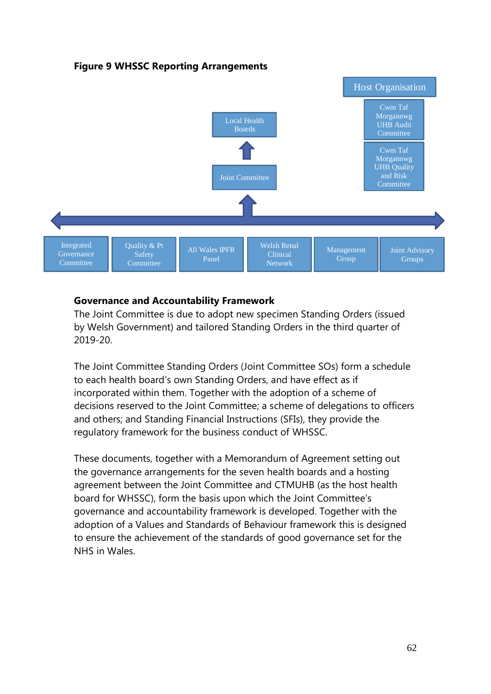#### **Figure 9 WHSSC Reporting Arrangements**



#### <span id="page-61-0"></span>**Governance and Accountability Framework**

The Joint Committee is due to adopt new specimen Standing Orders (issued by Welsh Government) and tailored Standing Orders in the third quarter of 2019-20.

The Joint Committee Standing Orders (Joint Committee SOs) form a schedule to each health board's own Standing Orders, and have effect as if incorporated within them. Together with the adoption of a scheme of decisions reserved to the Joint Committee; a scheme of delegations to officers and others; and Standing Financial Instructions (SFIs), they provide the regulatory framework for the business conduct of WHSSC.

These documents, together with a Memorandum of Agreement setting out the governance arrangements for the seven health boards and a hosting agreement between the Joint Committee and CTMUHB (as the host health board for WHSSC), form the basis upon which the Joint Committee's governance and accountability framework is developed. Together with the adoption of a Values and Standards of Behaviour framework this is designed to ensure the achievement of the standards of good governance set for the NHS in Wales.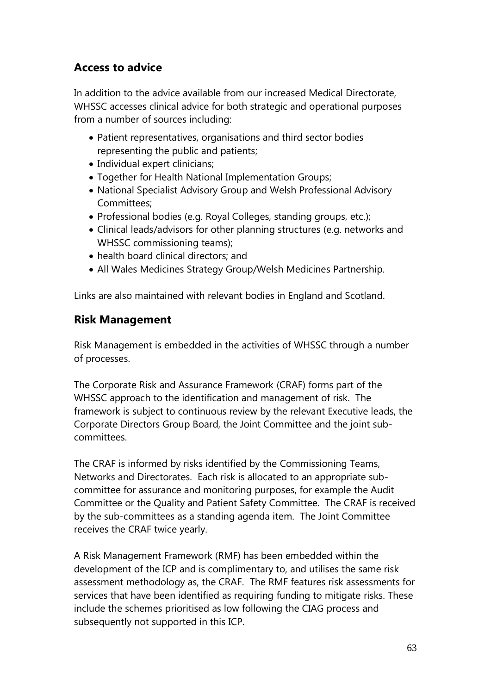# <span id="page-62-0"></span>**Access to advice**

In addition to the advice available from our increased Medical Directorate, WHSSC accesses clinical advice for both strategic and operational purposes from a number of sources including:

- Patient representatives, organisations and third sector bodies representing the public and patients;
- Individual expert clinicians;
- Together for Health National Implementation Groups;
- National Specialist Advisory Group and Welsh Professional Advisory Committees;
- Professional bodies (e.g. Royal Colleges, standing groups, etc.);
- Clinical leads/advisors for other planning structures (e.g. networks and WHSSC commissioning teams);
- health board clinical directors; and
- All Wales Medicines Strategy Group/Welsh Medicines Partnership.

<span id="page-62-1"></span>Links are also maintained with relevant bodies in England and Scotland.

# **Risk Management**

Risk Management is embedded in the activities of WHSSC through a number of processes.

The Corporate Risk and Assurance Framework (CRAF) forms part of the WHSSC approach to the identification and management of risk. The framework is subject to continuous review by the relevant Executive leads, the Corporate Directors Group Board, the Joint Committee and the joint subcommittees.

The CRAF is informed by risks identified by the Commissioning Teams, Networks and Directorates. Each risk is allocated to an appropriate subcommittee for assurance and monitoring purposes, for example the Audit Committee or the Quality and Patient Safety Committee. The CRAF is received by the sub-committees as a standing agenda item. The Joint Committee receives the CRAF twice yearly.

A Risk Management Framework (RMF) has been embedded within the development of the ICP and is complimentary to, and utilises the same risk assessment methodology as, the CRAF. The RMF features risk assessments for services that have been identified as requiring funding to mitigate risks. These include the schemes prioritised as low following the CIAG process and subsequently not supported in this ICP.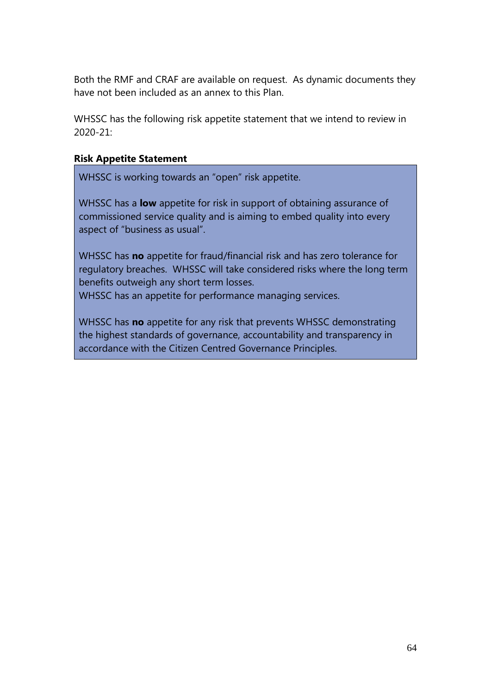Both the RMF and CRAF are available on request. As dynamic documents they have not been included as an annex to this Plan.

WHSSC has the following risk appetite statement that we intend to review in 2020-21:

#### **Risk Appetite Statement**

WHSSC is working towards an "open" risk appetite.

WHSSC has a **low** appetite for risk in support of obtaining assurance of commissioned service quality and is aiming to embed quality into every aspect of "business as usual".

WHSSC has **no** appetite for fraud/financial risk and has zero tolerance for regulatory breaches. WHSSC will take considered risks where the long term benefits outweigh any short term losses.

WHSSC has an appetite for performance managing services.

WHSSC has **no** appetite for any risk that prevents WHSSC demonstrating the highest standards of governance, accountability and transparency in accordance with the Citizen Centred Governance Principles.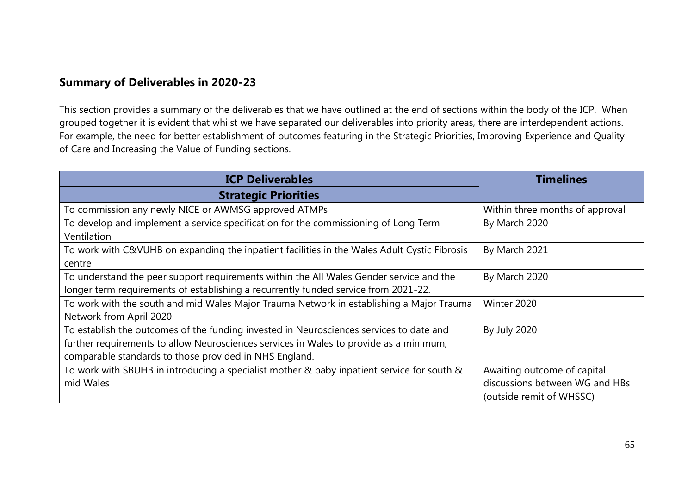# **Summary of Deliverables in 2020-23**

This section provides a summary of the deliverables that we have outlined at the end of sections within the body of the ICP. When grouped together it is evident that whilst we have separated our deliverables into priority areas, there are interdependent actions. For example, the need for better establishment of outcomes featuring in the Strategic Priorities, Improving Experience and Quality of Care and Increasing the Value of Funding sections.

<span id="page-64-0"></span>

| <b>ICP Deliverables</b>                                                                      | <b>Timelines</b>                |  |
|----------------------------------------------------------------------------------------------|---------------------------------|--|
| <b>Strategic Priorities</b>                                                                  |                                 |  |
| To commission any newly NICE or AWMSG approved ATMPs                                         | Within three months of approval |  |
| To develop and implement a service specification for the commissioning of Long Term          | By March 2020                   |  |
| Ventilation                                                                                  |                                 |  |
| To work with C&VUHB on expanding the inpatient facilities in the Wales Adult Cystic Fibrosis | By March 2021                   |  |
| centre                                                                                       |                                 |  |
| To understand the peer support requirements within the All Wales Gender service and the      | By March 2020                   |  |
| longer term requirements of establishing a recurrently funded service from 2021-22.          |                                 |  |
| To work with the south and mid Wales Major Trauma Network in establishing a Major Trauma     | Winter 2020                     |  |
| Network from April 2020                                                                      |                                 |  |
| To establish the outcomes of the funding invested in Neurosciences services to date and      | <b>By July 2020</b>             |  |
| further requirements to allow Neurosciences services in Wales to provide as a minimum,       |                                 |  |
| comparable standards to those provided in NHS England.                                       |                                 |  |
| To work with SBUHB in introducing a specialist mother & baby inpatient service for south &   | Awaiting outcome of capital     |  |
| mid Wales                                                                                    | discussions between WG and HBs  |  |
|                                                                                              | (outside remit of WHSSC)        |  |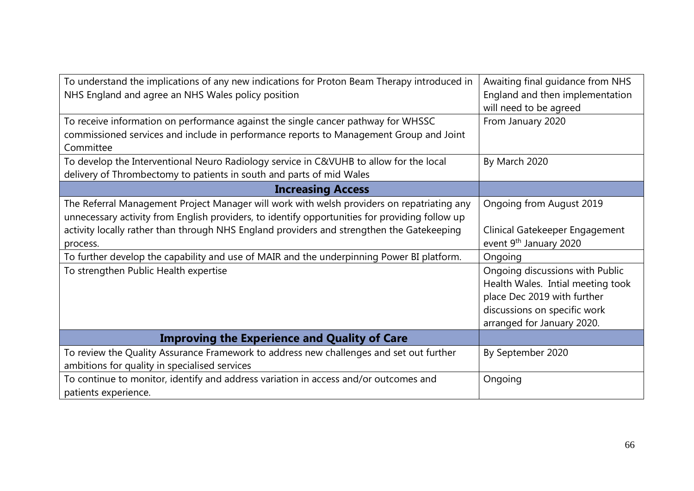| To understand the implications of any new indications for Proton Beam Therapy introduced in<br>NHS England and agree an NHS Wales policy position                                                                                                                                                                                                                                                                                           | Awaiting final guidance from NHS<br>England and then implementation<br>will need to be agreed                                                                                                                      |
|---------------------------------------------------------------------------------------------------------------------------------------------------------------------------------------------------------------------------------------------------------------------------------------------------------------------------------------------------------------------------------------------------------------------------------------------|--------------------------------------------------------------------------------------------------------------------------------------------------------------------------------------------------------------------|
| To receive information on performance against the single cancer pathway for WHSSC<br>commissioned services and include in performance reports to Management Group and Joint<br>Committee                                                                                                                                                                                                                                                    | From January 2020                                                                                                                                                                                                  |
| To develop the Interventional Neuro Radiology service in C&VUHB to allow for the local<br>delivery of Thrombectomy to patients in south and parts of mid Wales                                                                                                                                                                                                                                                                              | By March 2020                                                                                                                                                                                                      |
| <b>Increasing Access</b>                                                                                                                                                                                                                                                                                                                                                                                                                    |                                                                                                                                                                                                                    |
| The Referral Management Project Manager will work with welsh providers on repatriating any<br>unnecessary activity from English providers, to identify opportunities for providing follow up<br>activity locally rather than through NHS England providers and strengthen the Gatekeeping<br>process.<br>To further develop the capability and use of MAIR and the underpinning Power BI platform.<br>To strengthen Public Health expertise | Ongoing from August 2019<br>Clinical Gatekeeper Engagement<br>event 9 <sup>th</sup> January 2020<br>Ongoing<br>Ongoing discussions with Public<br>Health Wales. Intial meeting took<br>place Dec 2019 with further |
|                                                                                                                                                                                                                                                                                                                                                                                                                                             | discussions on specific work<br>arranged for January 2020.                                                                                                                                                         |
| <b>Improving the Experience and Quality of Care</b>                                                                                                                                                                                                                                                                                                                                                                                         |                                                                                                                                                                                                                    |
| To review the Quality Assurance Framework to address new challenges and set out further<br>ambitions for quality in specialised services                                                                                                                                                                                                                                                                                                    | By September 2020                                                                                                                                                                                                  |
| To continue to monitor, identify and address variation in access and/or outcomes and<br>patients experience.                                                                                                                                                                                                                                                                                                                                | Ongoing                                                                                                                                                                                                            |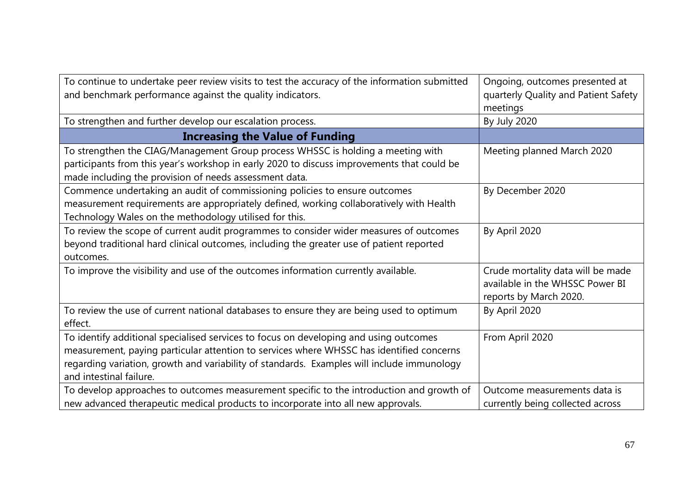| To continue to undertake peer review visits to test the accuracy of the information submitted<br>and benchmark performance against the quality indicators.                                                                                                                                                 | Ongoing, outcomes presented at<br>quarterly Quality and Patient Safety<br>meetings             |  |
|------------------------------------------------------------------------------------------------------------------------------------------------------------------------------------------------------------------------------------------------------------------------------------------------------------|------------------------------------------------------------------------------------------------|--|
| To strengthen and further develop our escalation process.                                                                                                                                                                                                                                                  | By July 2020                                                                                   |  |
| <b>Increasing the Value of Funding</b>                                                                                                                                                                                                                                                                     |                                                                                                |  |
| To strengthen the CIAG/Management Group process WHSSC is holding a meeting with<br>participants from this year's workshop in early 2020 to discuss improvements that could be<br>made including the provision of needs assessment data.                                                                    | Meeting planned March 2020                                                                     |  |
| Commence undertaking an audit of commissioning policies to ensure outcomes<br>measurement requirements are appropriately defined, working collaboratively with Health<br>Technology Wales on the methodology utilised for this.                                                                            | By December 2020                                                                               |  |
| To review the scope of current audit programmes to consider wider measures of outcomes<br>beyond traditional hard clinical outcomes, including the greater use of patient reported<br>outcomes.                                                                                                            | By April 2020                                                                                  |  |
| To improve the visibility and use of the outcomes information currently available.                                                                                                                                                                                                                         | Crude mortality data will be made<br>available in the WHSSC Power BI<br>reports by March 2020. |  |
| To review the use of current national databases to ensure they are being used to optimum<br>effect.                                                                                                                                                                                                        | By April 2020                                                                                  |  |
| To identify additional specialised services to focus on developing and using outcomes<br>measurement, paying particular attention to services where WHSSC has identified concerns<br>regarding variation, growth and variability of standards. Examples will include immunology<br>and intestinal failure. | From April 2020                                                                                |  |
| To develop approaches to outcomes measurement specific to the introduction and growth of<br>new advanced therapeutic medical products to incorporate into all new approvals.                                                                                                                               | Outcome measurements data is<br>currently being collected across                               |  |